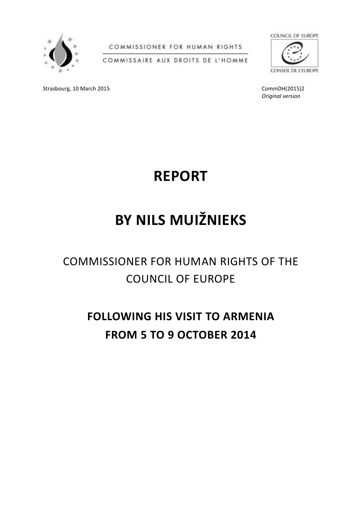

COMMISSIONER FOR HUMAN RIGHTS

COMMISSAIRE AUX DROITS DE L'HOMME



COUNCIL OF EUROPE CONSEIL DE L'EUROPE

Strasbourg, 10 March 2015 CommDH(2015)2 *Original version*



# **BY NILS MUIŽNIEKS**

COMMISSIONER FOR HUMAN RIGHTS OF THE COUNCIL OF EUROPE

> **FOLLOWING HIS VISIT TO ARMENIA FROM 5 TO 9 OCTOBER 2014**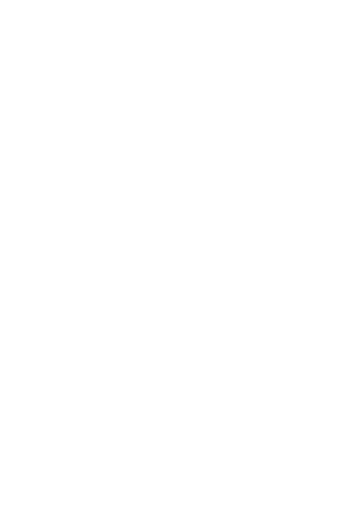$\mathbf{F} = \mathbf{F} \mathbf{F} + \mathbf{F} \mathbf{F} + \mathbf{F} \mathbf{F} + \mathbf{F} \mathbf{F} + \mathbf{F} \mathbf{F} + \mathbf{F} \mathbf{F} + \mathbf{F} \mathbf{F} + \mathbf{F} \mathbf{F} + \mathbf{F} \mathbf{F} + \mathbf{F} \mathbf{F} + \mathbf{F} \mathbf{F} + \mathbf{F} \mathbf{F} + \mathbf{F} \mathbf{F} + \mathbf{F} \mathbf{F} + \mathbf{F} \mathbf{F} + \mathbf{F} \mathbf{F} + \mathbf{F$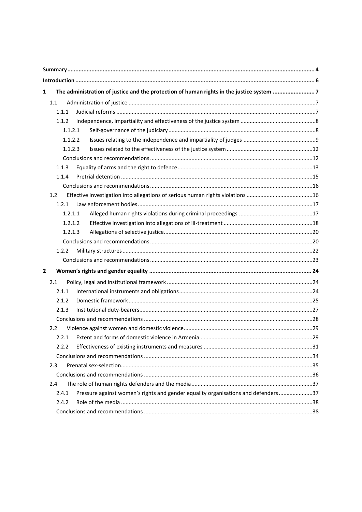| The administration of justice and the protection of human rights in the justice system 7<br>1 |               |                                                                                   |  |
|-----------------------------------------------------------------------------------------------|---------------|-----------------------------------------------------------------------------------|--|
|                                                                                               | 1.1           |                                                                                   |  |
|                                                                                               | 1.1.1         |                                                                                   |  |
|                                                                                               | 1.1.2         |                                                                                   |  |
|                                                                                               | 1.1.2.1       |                                                                                   |  |
|                                                                                               |               | 1.1.2.2                                                                           |  |
|                                                                                               | 1.1.2.3       |                                                                                   |  |
|                                                                                               |               |                                                                                   |  |
|                                                                                               | 1.1.3         |                                                                                   |  |
|                                                                                               | 1.1.4         |                                                                                   |  |
|                                                                                               |               |                                                                                   |  |
|                                                                                               | 1.2           |                                                                                   |  |
|                                                                                               | 1.2.1         |                                                                                   |  |
|                                                                                               | 1.2.1.1       |                                                                                   |  |
|                                                                                               | 1.2.1.2       |                                                                                   |  |
|                                                                                               | 1.2.1.3       |                                                                                   |  |
|                                                                                               |               |                                                                                   |  |
|                                                                                               | 1.2.2         |                                                                                   |  |
|                                                                                               |               |                                                                                   |  |
| $\overline{2}$                                                                                |               |                                                                                   |  |
|                                                                                               | 2.1           |                                                                                   |  |
|                                                                                               | 2.1.1         |                                                                                   |  |
|                                                                                               | 2.1.2         |                                                                                   |  |
|                                                                                               | 2.1.3         |                                                                                   |  |
|                                                                                               |               |                                                                                   |  |
|                                                                                               | $2.2^{\circ}$ |                                                                                   |  |
|                                                                                               |               |                                                                                   |  |
|                                                                                               | 2.2.2         |                                                                                   |  |
|                                                                                               |               |                                                                                   |  |
|                                                                                               | 2.3           |                                                                                   |  |
|                                                                                               |               |                                                                                   |  |
|                                                                                               | 2.4           |                                                                                   |  |
|                                                                                               | 2.4.1         | Pressure against women's rights and gender equality organisations and defenders37 |  |
|                                                                                               | 2.4.2         |                                                                                   |  |
|                                                                                               |               |                                                                                   |  |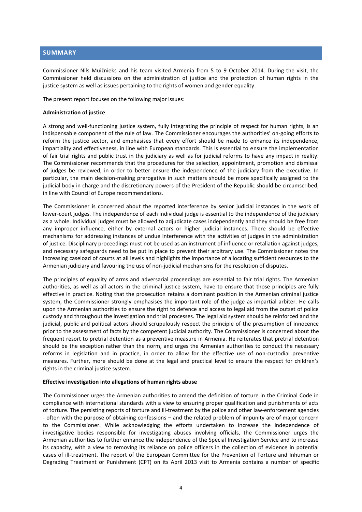#### <span id="page-3-0"></span>**SUMMARY**

Commissioner Nils Muižnieks and his team visited Armenia from 5 to 9 October 2014. During the visit, the Commissioner held discussions on the administration of justice and the protection of human rights in the justice system as well as issues pertaining to the rights of women and gender equality.

The present report focuses on the following major issues:

#### **Administration of justice**

A strong and well-functioning justice system, fully integrating the principle of respect for human rights, is an indispensable component of the rule of law. The Commissioner encourages the authorities' on-going efforts to reform the justice sector, and emphasises that every effort should be made to enhance its independence, impartiality and effectiveness, in line with European standards. This is essential to ensure the implementation of fair trial rights and public trust in the judiciary as well as for judicial reforms to have any impact in reality. The Commissioner recommends that the procedures for the selection, appointment, promotion and dismissal of judges be reviewed, in order to better ensure the independence of the judiciary from the executive. In particular, the main decision-making prerogative in such matters should be more specifically assigned to the judicial body in charge and the discretionary powers of the President of the Republic should be circumscribed, in line with Council of Europe recommendations.

The Commissioner is concerned about the reported interference by senior judicial instances in the work of lower-court judges. The independence of each individual judge is essential to the independence of the judiciary as a whole. Individual judges must be allowed to adjudicate cases independently and they should be free from any improper influence, either by external actors or higher judicial instances. There should be effective mechanisms for addressing instances of undue interference with the activities of judges in the administration of justice. Disciplinary proceedings must not be used as an instrument of influence or retaliation against judges, and necessary safeguards need to be put in place to prevent their arbitrary use. The Commissioner notes the increasing caseload of courts at all levels and highlights the importance of allocating sufficient resources to the Armenian judiciary and favouring the use of non-judicial mechanisms for the resolution of disputes.

The principles of equality of arms and adversarial proceedings are essential to fair trial rights. The Armenian authorities, as well as all actors in the criminal justice system, have to ensure that those principles are fully effective in practice. Noting that the prosecution retains a dominant position in the Armenian criminal justice system, the Commissioner strongly emphasises the important role of the judge as impartial arbiter. He calls upon the Armenian authorities to ensure the right to defence and access to legal aid from the outset of police custody and throughout the investigation and trial processes. The legal aid system should be reinforced and the judicial, public and political actors should scrupulously respect the principle of the presumption of innocence prior to the assessment of facts by the competent judicial authority. The Commissioner is concerned about the frequent resort to pretrial detention as a preventive measure in Armenia. He reiterates that pretrial detention should be the exception rather than the norm, and urges the Armenian authorities to conduct the necessary reforms in legislation and in practice, in order to allow for the effective use of non-custodial preventive measures. Further, more should be done at the legal and practical level to ensure the respect for children's rights in the criminal justice system.

#### **Effective investigation into allegations of human rights abuse**

The Commissioner urges the Armenian authorities to amend the definition of torture in the Criminal Code in compliance with international standards with a view to ensuring proper qualification and punishments of acts of torture. The persisting reports of torture and ill-treatment by the police and other law-enforcement agencies - often with the purpose of obtaining confessions – and the related problem of impunity are of major concern to the Commissioner. While acknowledging the efforts undertaken to increase the independence of investigative bodies responsible for investigating abuses involving officials, the Commissioner urges the Armenian authorities to further enhance the independence of the Special Investigation Service and to increase its capacity, with a view to removing its reliance on police officers in the collection of evidence in potential cases of ill-treatment. The report of the European Committee for the Prevention of Torture and Inhuman or Degrading Treatment or Punishment (CPT) on its April 2013 visit to Armenia contains a number of specific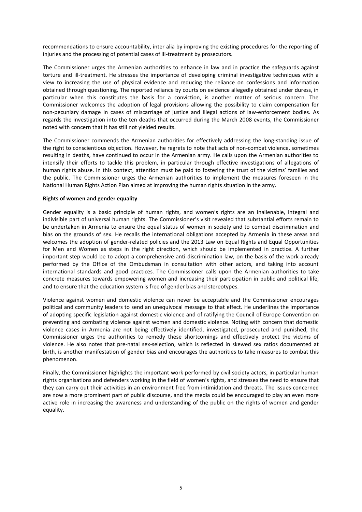recommendations to ensure accountability, inter alia by improving the existing procedures for the reporting of injuries and the processing of potential cases of ill-treatment by prosecutors.

The Commissioner urges the Armenian authorities to enhance in law and in practice the safeguards against torture and ill-treatment. He stresses the importance of developing criminal investigative techniques with a view to increasing the use of physical evidence and reducing the reliance on confessions and information obtained through questioning. The reported reliance by courts on evidence allegedly obtained under duress, in particular when this constitutes the basis for a conviction, is another matter of serious concern. The Commissioner welcomes the adoption of legal provisions allowing the possibility to claim compensation for non-pecuniary damage in cases of miscarriage of justice and illegal actions of law-enforcement bodies. As regards the investigation into the ten deaths that occurred during the March 2008 events, the Commissioner noted with concern that it has still not yielded results.

The Commissioner commends the Armenian authorities for effectively addressing the long-standing issue of the right to conscientious objection. However, he regrets to note that acts of non-combat violence, sometimes resulting in deaths, have continued to occur in the Armenian army. He calls upon the Armenian authorities to intensify their efforts to tackle this problem, in particular through effective investigations of allegations of human rights abuse. In this context, attention must be paid to fostering the trust of the victims' families and the public. The Commissioner urges the Armenian authorities to implement the measures foreseen in the National Human Rights Action Plan aimed at improving the human rights situation in the army.

#### **Rights of women and gender equality**

Gender equality is a basic principle of human rights, and women's rights are an inalienable, integral and indivisible part of universal human rights. The Commissioner's visit revealed that substantial efforts remain to be undertaken in Armenia to ensure the equal status of women in society and to combat discrimination and bias on the grounds of sex. He recalls the international obligations accepted by Armenia in these areas and welcomes the adoption of gender-related policies and the 2013 Law on Equal Rights and Equal Opportunities for Men and Women as steps in the right direction, which should be implemented in practice. A further important step would be to adopt a comprehensive anti-discrimination law, on the basis of the work already performed by the Office of the Ombudsman in consultation with other actors, and taking into account international standards and good practices. The Commissioner calls upon the Armenian authorities to take concrete measures towards empowering women and increasing their participation in public and political life, and to ensure that the education system is free of gender bias and stereotypes.

Violence against women and domestic violence can never be acceptable and the Commissioner encourages political and community leaders to send an unequivocal message to that effect. He underlines the importance of adopting specific legislation against domestic violence and of ratifying the Council of Europe Convention on preventing and combating violence against women and domestic violence. Noting with concern that domestic violence cases in Armenia are not being effectively identified, investigated, prosecuted and punished, the Commissioner urges the authorities to remedy these shortcomings and effectively protect the victims of violence. He also notes that pre-natal sex-selection, which is reflected in skewed sex ratios documented at birth, is another manifestation of gender bias and encourages the authorities to take measures to combat this phenomenon.

Finally, the Commissioner highlights the important work performed by civil society actors, in particular human rights organisations and defenders working in the field of women's rights, and stresses the need to ensure that they can carry out their activities in an environment free from intimidation and threats. The issues concerned are now a more prominent part of public discourse, and the media could be encouraged to play an even more active role in increasing the awareness and understanding of the public on the rights of women and gender equality.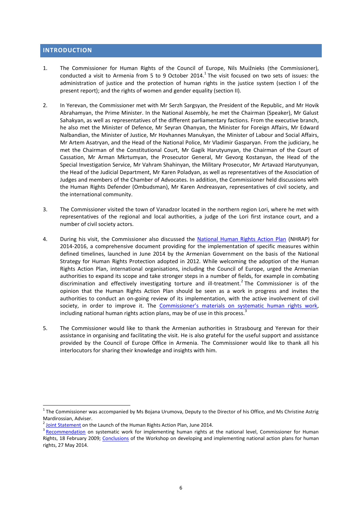### <span id="page-5-0"></span>**INTRODUCTION**

- 1. The Commissioner for Human Rights of the Council of Europe, Nils Muižnieks (the Commissioner), conducted a visit to Armenia from 5 to 9 October 2014.<sup>1</sup> The visit focused on two sets of issues: the administration of justice and the protection of human rights in the justice system (section I of the present report); and the rights of women and gender equality (section II).
- 2. In Yerevan, the Commissioner met with Mr Serzh Sargsyan, the President of the Republic, and Mr Hovik Abrahamyan, the Prime Minister. In the National Assembly, he met the Chairman (Speaker), Mr Galust Sahakyan, as well as representatives of the different parliamentary factions. From the executive branch, he also met the Minister of Defence, Mr Seyran Ohanyan, the Minister for Foreign Affairs, Mr Edward Nalbandian, the Minister of Justice, Mr Hovhannes Manukyan, the Minister of Labour and Social Affairs, Mr Artem Asatryan, and the Head of the National Police, Mr Vladimir Gasparyan. From the judiciary, he met the Chairman of the Constitutional Court, Mr Gagik Harutyunyan, the Chairman of the Court of Cassation, Mr Arman Mkrtumyan, the Prosecutor General, Mr Gevorg Kostanyan, the Head of the Special Investigation Service, Mr Vahram Shahinyan, the Military Prosecutor, Mr Artavazd Harutyunyan, the Head of the Judicial Department, Mr Karen Poladyan, as well as representatives of the Association of Judges and members of the Chamber of Advocates. In addition, the Commissioner held discussions with the Human Rights Defender (Ombudsman), Mr Karen Andreasyan, representatives of civil society, and the international community.
- 3. The Commissioner visited the town of Vanadzor located in the northern region Lori, where he met with representatives of the regional and local authorities, a judge of the Lori first instance court, and a number of civil society actors.
- 4. During his visit, the Commissioner also discussed the [National Human Rights Action Plan](http://www.coe.int/t/commissioner/source/NAP/Armenia-National-Action-Plan-on-Human-Rights.pdf) (NHRAP) for 2014-2016, a comprehensive document providing for the implementation of specific measures within defined timelines, launched in June 2014 by the Armenian Government on the basis of the National Strategy for Human Rights Protection adopted in 2012. While welcoming the adoption of the Human Rights Action Plan, international organisations, including the Council of Europe, urged the Armenian authorities to expand its scope and take stronger steps in a number of fields, for example in combating discrimination and effectively investigating torture and ill-treatment.<sup>2</sup> The Commissioner is of the opinion that the Human Rights Action Plan should be seen as a work in progress and invites the authorities to conduct an on-going review of its implementation, with the active involvement of civil society, in order to improve it. The Commissioner's materials [on systematic human rights work,](http://www.coe.int/en/web/commissioner/systematic-human-rights-work) including national human rights action plans, may be of use in this process.<sup>3</sup>
- 5. The Commissioner would like to thank the Armenian authorities in Strasbourg and Yerevan for their assistance in organising and facilitating the visit. He is also grateful for the useful support and assistance provided by the Council of Europe Office in Armenia. The Commissioner would like to thank all his interlocutors for sharing their knowledge and insights with him.

 $^1$  The Commissioner was accompanied by Ms Bojana Urumova, Deputy to the Director of his Office, and Ms Christine Astrig Mardirossian, Adviser.

<sup>&</sup>lt;sup>2</sup> [Joint Statement](http://www.osce.org/yerevan/120537?download=true) on the Launch of the Human Rights Action Plan, June 2014.

<sup>&</sup>lt;sup>3</sup> [Recommendation](https://wcd.coe.int/ViewDoc.jsp?Ref=CommDH(2009)3&Language=lanEnglish&Ver=original&Site=COE&BackColorInternet=DBDCF2&BackColorIntranet=FDC864&BackColorLogged=FDC864)</u> on systematic work for implementing human rights at the national level, Commissioner for Human Rights, 18 February 2009; [Conclusions](https://wcd.coe.int/com.instranet.InstraServlet?command=com.instranet.CmdBlobGet&InstranetImage=2531623&SecMode=1&DocId=2145406&Usage=2) of the Workshop on developing and implementing national action plans for human rights, 27 May 2014.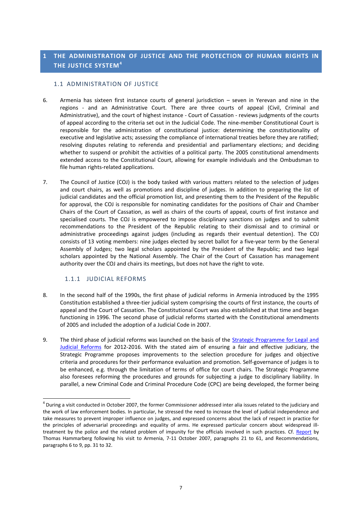# <span id="page-6-0"></span>**1 THE ADMINISTRATION OF JUSTICE AND THE PROTECTION OF HUMAN RIGHTS IN THE JUSTICE SYSTEM<sup>4</sup>**

#### <span id="page-6-1"></span>1.1 ADMINISTRATION OF JUSTICE

- 6. Armenia has sixteen first instance courts of general jurisdiction seven in Yerevan and nine in the regions - and an Administrative Court. There are three courts of appeal (Civil, Criminal and Administrative), and the court of highest instance - Court of Cassation - reviews judgments of the courts of appeal according to the criteria set out in the Judicial Code. The nine-member Constitutional Court is responsible for the administration of constitutional justice: determining the constitutionality of executive and legislative acts; assessing the compliance of international treaties before they are ratified; resolving disputes relating to referenda and presidential and parliamentary elections; and deciding whether to suspend or prohibit the activities of a political party. The 2005 constitutional amendments extended access to the Constitutional Court, allowing for example individuals and the Ombudsman to file human rights-related applications.
- 7. The Council of Justice (COJ) is the body tasked with various matters related to the selection of judges and court chairs, as well as promotions and discipline of judges. In addition to preparing the list of judicial candidates and the official promotion list, and presenting them to the President of the Republic for approval, the COJ is responsible for nominating candidates for the positions of Chair and Chamber Chairs of the Court of Cassation, as well as chairs of the courts of appeal, courts of first instance and specialised courts. The COJ is empowered to impose disciplinary sanctions on judges and to submit recommendations to the President of the Republic relating to their dismissal and to criminal or administrative proceedings against judges (including as regards their eventual detention). The COJ consists of 13 voting members: nine judges elected by secret ballot for a five-year term by the General Assembly of Judges; two legal scholars appointed by the President of the Republic; and two legal scholars appointed by the National Assembly. The Chair of the Court of Cassation has management authority over the COJ and chairs its meetings, but does not have the right to vote.

#### 1.1.1 JUDICIAL REFORMS

- <span id="page-6-2"></span>8. In the second half of the 1990s, the first phase of judicial reforms in Armenia introduced by the 1995 Constitution established a three-tier judicial system comprising the courts of first instance, the courts of appeal and the Court of Cassation. The Constitutional Court was also established at that time and began functioning in 1996. The second phase of judicial reforms started with the Constitutional amendments of 2005 and included the adoption of a Judicial Code in 2007.
- 9. The third phase of judicial reforms was launched on the basis of the **Strategic Programme for Legal and** [Judicial Reforms](http://iravaban.net/wp-content/uploads/2014/03/Strategic-programme-for-legal-and-judicial-reforms-in-the-RA-of-Armenia-eng-1.pdf) for 2012-2016. With the stated aim of ensuring a fair and effective judiciary, the Strategic Programme proposes improvements to the selection procedure for judges and objective criteria and procedures for their performance evaluation and promotion. Self-governance of judges is to be enhanced, e.g. through the limitation of terms of office for court chairs. The Strategic Programme also foresees reforming the procedures and grounds for subjecting a judge to disciplinary liability. In parallel, a new Criminal Code and Criminal Procedure Code (CPC) are being developed, the former being

<sup>&</sup>lt;sup>4</sup> During a visit conducted in October 2007, the former Commissioner addressed inter alia issues related to the judiciary and the work of law enforcement bodies. In particular, he stressed the need to increase the level of judicial independence and take measures to prevent improper influence on judges, and expressed concerns about the lack of respect in practice for the principles of adversarial proceedings and equality of arms. He expressed particular concern about widespread illtreatment by the police and the related problem of impunity for the officials involved in such practices. Cf. [Report](https://wcd.coe.int/ViewDoc.jsp?id=1283639&Site=CommDH&BackColorInternet=FEC65B&BackColorIntranet=FEC65B&BackColorLogged=FFC679) by Thomas Hammarberg following his visit to Armenia, 7-11 October 2007, paragraphs 21 to 61, and Recommendations, paragraphs 6 to 9, pp. 31 to 32.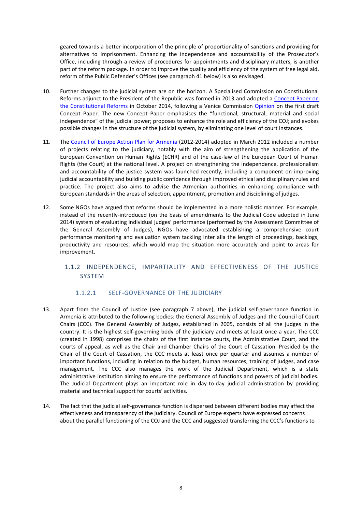geared towards a better incorporation of the principle of proportionality of sanctions and providing for alternatives to imprisonment. Enhancing the independence and accountability of the Prosecutor's Office, including through a review of procedures for appointments and disciplinary matters, is another part of the reform package. In order to improve the quality and efficiency of the system of free legal aid, reform of the Public Defender's Offices (see paragraph 41 below) is also envisaged.

- 10. Further changes to the judicial system are on the horizon. A Specialised Commission on Constitutional Reforms adjunct to the President of the Republic was formed in 2013 and adopted a [Concept Paper on](http://www.venice.coe.int/webforms/documents/default.aspx?pdffile=CDL-REF(2014)050-e)  [the Constitutional Reforms](http://www.venice.coe.int/webforms/documents/default.aspx?pdffile=CDL-REF(2014)050-e) in October 2014, following a Venice Commission [Opinion](http://www.venice.coe.int/webforms/documents/default.aspx?pdffile=CDL-AD(2014)027-e) on the first draft Concept Paper. The new Concept Paper emphasises the "functional, structural, material and social independence" of the judicial power; proposes to enhance the role and efficiency of the COJ; and evokes possible changes in the structure of the judicial system, by eliminating one level of court instances.
- 11. The [Council of Europe Action Plan for Armenia](http://www.coe.am/docs/ActionPlan2012-2014_Eng.pdf) (2012-2014) adopted in March 2012 included a number of projects relating to the judiciary, notably with the aim of strengthening the application of the European Convention on Human Rights (ECHR) and of the case-law of the European Court of Human Rights (the Court) at the national level. A project on strengthening the independence, professionalism and accountability of the justice system was launched recently, including a component on improving judicial accountability and building public confidence through improved ethical and disciplinary rules and practice. The project also aims to advise the Armenian authorities in enhancing compliance with European standards in the areas of selection, appointment, promotion and disciplining of judges.
- 12. Some NGOs have argued that reforms should be implemented in a more holistic manner. For example, instead of the recently-introduced (on the basis of amendments to the Judicial Code adopted in June 2014) system of evaluating individual judges' performance (performed by the Assessment Committee of the General Assembly of Judges), NGOs have advocated establishing a comprehensive court performance monitoring and evaluation system tackling inter alia the length of proceedings, backlogs, productivity and resources, which would map the situation more accurately and point to areas for improvement.

# <span id="page-7-0"></span>1.1.2 INDEPENDENCE, IMPARTIALITY AND EFFECTIVENESS OF THE JUSTICE SYSTEM

### 1.1.2.1 SELF-GOVERNANCE OF THE JUDICIARY

- <span id="page-7-1"></span>13. Apart from the Council of Justice (see paragraph 7 above), the judicial self-governance function in Armenia is attributed to the following bodies: the General Assembly of Judges and the Council of Court Chairs (CCC). The General Assembly of Judges, established in 2005, consists of all the judges in the country. It is the highest self-governing body of the judiciary and meets at least once a year. The CCC (created in 1998) comprises the chairs of the first instance courts, the Administrative Court, and the courts of appeal, as well as the Chair and Chamber Chairs of the Court of Cassation. Presided by the Chair of the Court of Cassation, the CCC meets at least once per quarter and assumes a number of important functions, including in relation to the budget, human resources, training of judges, and case management. The CCC also manages the work of the Judicial Department, which is a state administrative institution aiming to ensure the performance of functions and powers of judicial bodies. The Judicial Department plays an important role in day-to-day judicial administration by providing material and technical support for courts' activities.
- 14. The fact that the judicial self-governance function is dispersed between different bodies may affect the effectiveness and transparency of the judiciary. Council of Europe experts have expressed concerns about the parallel functioning of the COJ and the CCC and suggested transferring the CCC's functions to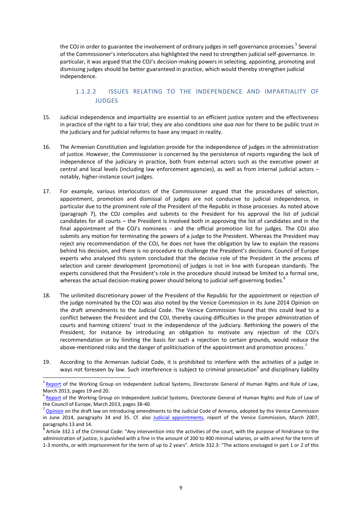the COJ in order to guarantee the involvement of ordinary judges in self-governance processes.<sup>5</sup> Several of the Commissioner's interlocutors also highlighted the need to strengthen judicial self-governance. In particular, it was argued that the COJ's decision-making powers in selecting, appointing, promoting and dismissing judges should be better guaranteed in practice, which would thereby strengthen judicial independence.

# 1.1.2.2 ISSUES RELATING TO THE INDEPENDENCE AND IMPARTIALITY OF **JUDGES**

- <span id="page-8-0"></span>15. Judicial independence and impartiality are essential to an efficient justice system and the effectiveness in practice of the right to a fair trial; they are also conditions *sine qua non* for there to be public trust in the judiciary and for judicial reforms to have any impact in reality.
- 16. The Armenian Constitution and legislation provide for the independence of judges in the administration of justice. However, the Commissioner is concerned by the persistence of reports regarding the lack of independence of the judiciary in practice, both from external actors such as the executive power at central and local levels (including law enforcement agencies), as well as from internal judicial actors – notably, higher-instance court judges.
- 17. For example, various interlocutors of the Commissioner argued that the procedures of selection, appointment, promotion and dismissal of judges are not conducive to judicial independence, in particular due to the prominent role of the President of the Republic in those processes. As noted above (paragraph 7), the COJ compiles and submits to the President for his approval the list of judicial candidates for all courts – the President is involved both in approving the list of candidates and in the final appointment of the COJ's nominees - and the official promotion list for judges. The COJ also submits any motion for terminating the powers of a judge to the President. Whereas the President may reject any recommendation of the COJ, he does not have the obligation by law to explain the reasons behind his decision, and there is no procedure to challenge the President's decisions. Council of Europe experts who analysed this system concluded that the decisive role of the President in the process of selection and career development (promotions) of judges is not in line with European standards. The experts considered that the President's role in the procedure should instead be limited to a formal one, whereas the actual decision-making power should belong to judicial self-governing bodies. $^6$
- 18. The unlimited discretionary power of the President of the Republic for the appointment or rejection of the judge nominated by the COJ was also noted by the Venice Commission in its June 2014 Opinion on the draft amendments to the Judicial Code. The Venice Commission found that this could lead to a conflict between the President and the COJ, thereby causing difficulties in the proper administration of courts and harming citizens' trust in the independence of the judiciary. Rethinking the powers of the President, for instance by introducing an obligation to motivate any rejection of the COJ's recommendation or by limiting the basis for such a rejection to certain grounds, would reduce the above-mentioned risks and the danger of politicisation of the appointment and promotion process.<sup>7</sup>
- 19. According to the Armenian Judicial Code, it is prohibited to interfere with the activities of a judge in ways not foreseen by law. Such interference is subject to criminal prosecution<sup>8</sup> and disciplinary liability

<sup>&</sup>lt;sup>5</sup> [Report](http://www.coe.int/t/dghl/cooperation/capacitybuilding/source/judic_reform/ENG%20March%20Report%20Independant%20Judicial%20Systems.pdf) of the Working Group on Independent Judicial Systems, Directorate General of Human Rights and Rule of Law, March 2013, pages 19 and 20.

<sup>&</sup>lt;sup>6</sup> [Report](http://www.coe.int/t/dghl/cooperation/capacitybuilding/source/judic_reform/ENG%20March%20Report%20Independant%20Judicial%20Systems.pdf) of the Working Group on Independent Judicial Systems, Directorate General of Human Rights and Rule of Law of the Council of Europe, March 2013, pages 38-40.

<sup>&</sup>lt;sup>7</sup> [Opinion](http://www.venice.coe.int/webforms/documents/default.aspx?pdffile=CDL-AD(2014)021-e) on the draft law on introducing amendments to the Judicial Code of Armenia, adopted by the Venice Commission in June 2014, paragraphs 34 and 35. Cf. also [Judicial appointments,](http://www.venice.coe.int/webforms/documents/default.aspx?pdffile=CDL-AD(2007)028-e) report of the Venice Commission, March 2007, paragraphs 13 and 14.

 $^8$  Article 332.1 of the Criminal Code: "Any intervention into the activities of the court, with the purpose of hindrance to the administration of justice, is punished with a fine in the amount of 200 to 400 minimal salaries, or with arrest for the term of 1-3 months, or with imprisonment for the term of up to 2 years". Article 332.3: "The actions envisaged in part 1 or 2 of this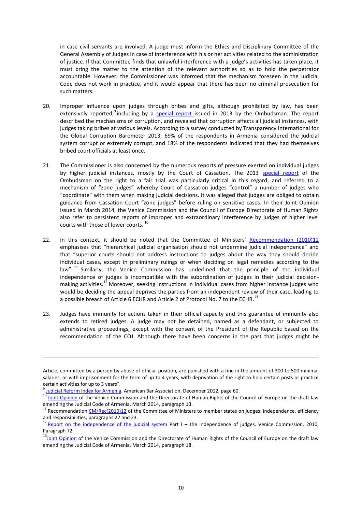in case civil servants are involved. A judge must inform the Ethics and Disciplinary Committee of the General Assembly of Judges in case of interference with his or her activities related to the administration of justice. If that Committee finds that unlawful interference with a judge's activities has taken place, it must bring the matter to the attention of the relevant authorities so as to hold the perpetrator accountable. However, the Commissioner was informed that the mechanism foreseen in the Judicial Code does not work in practice, and it would appear that there has been no criminal prosecution for such matters.

- 20. Improper influence upon judges through bribes and gifts, although prohibited by law, has been extensively reported,<sup>9</sup>including by a **[special report](http://hra.am/i/up/pdf_8657327245_arm_DATAKAN_ZEKUIC_FINAL_nor.pdf)** issued in 2013 by the Ombudsman. The report described the mechanisms of corruption, and revealed that corruption affects all judicial instances, with judges taking bribes at various levels. According to a survey conducted by Transparency International for the Global Corruption Barometer 2013, 69% of the respondents in Armenia considered the judicial system corrupt or extremely corrupt, and 18% of the respondents indicated that they had themselves bribed court officials at least once.
- 21. The Commissioner is also concerned by the numerous reports of pressure exerted on individual judges by higher judicial instances, mostly by the Court of Cassation. The 2013 [special report](http://hra.am/i/up/pdf_8657327245_arm_DATAKAN_ZEKUIC_FINAL_nor.pdf) of the Ombudsman on the right to a fair trial was particularly critical in this regard, and referred to a mechanism of "zone judges" whereby Court of Cassation judges "control" a number of judges who "coordinate" with them when making judicial decisions. It was alleged that judges are obliged to obtain guidance from Cassation Court "zone judges" before ruling on sensitive cases. In their Joint Opinion issued in March 2014, the Venice Commission and the Council of Europe Directorate of Human Rights also refer to persistent reports of improper and extraordinary interference by judges of higher level courts with those of lower courts. <sup>10</sup>
- 22. In this context, it should be noted that the Committee of Ministers' [Recommendation \(2010\)12](https://wcd.coe.int/ViewDoc.jsp?id=1707137) emphasises that "hierarchical judicial organisation should not undermine judicial independence" and that "superior courts should not address instructions to judges about the way they should decide individual cases, except in preliminary rulings or when deciding on legal remedies according to the law".<sup>11</sup> Similarly, the Venice Commission has underlined that the principle of the individual independence of judges is incompatible with the subordination of judges in their judicial decisionmaking activities.<sup>12</sup> Moreover, seeking instructions in individual cases from higher instance judges who would be deciding the appeal deprives the parties from an independent review of their case, leading to a possible breach of Article 6 ECHR and Article 2 of Protocol No. 7 to the ECHR.<sup>13</sup>
- 23. Judges have immunity for actions taken in their official capacity and this guarantee of immunity also extends to retired judges. A judge may not be detained, named as a defendant, or subjected to administrative proceedings, except with the consent of the President of the Republic based on the recommendation of the COJ. Although there have been concerns in the past that judges might be

Article, committed by a person by abuse of official position, are punished with a fine in the amount of 300 to 500 minimal salaries, or with imprisonment for the term of up to 4 years, with deprivation of the right to hold certain posts or practice certain activities for up to 3 years".

<sup>&</sup>lt;sup>9</sup> [Judicial Reform Index for Armenia,](http://www.americanbar.org/content/dam/aba/directories/roli/armenia/armenia_jri_vol_iv_english_12_2012.authcheckdam.pdf) American Bar Association, December 2012, page 60.

<sup>10</sup> [Joint Opinion](http://www.venice.coe.int/webforms/documents/default.aspx?pdffile=CDL-AD(2014)007-e) of the Venice Commission and the Directorate of Human Rights of the Council of Europe on the draft law amending the Judicial Code of Armenia, March 2014, paragraph 13.

<sup>&</sup>lt;sup>11</sup> Recommendation [CM/Rec\(2010\)12](https://wcd.coe.int/ViewDoc.jsp?id=1707137) of the Committee of Ministers to member states on judges: independence, efficiency and responsibilities, paragraphs 22 and 23.

 $12$  [Report on the independence of the judicial system](http://www.venice.coe.int/webforms/documents/default.aspx?pdffile=CDL-AD%282010%29004-e) Part I – the independence of judges, Venice Commission, 2010, Paragraph 72.

<sup>&</sup>lt;sup>13</sup>[Joint Opinion](http://www.venice.coe.int/webforms/documents/default.aspx?pdffile=CDL-AD(2014)007-e) of the Venice Commission and the Directorate of Human Rights of the Council of Europe on the draft law amending the Judicial Code of Armenia, March 2014, paragraph 18.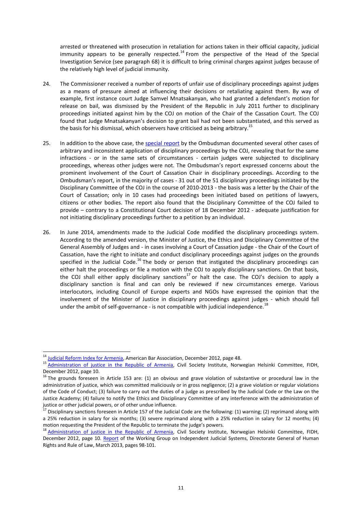arrested or threatened with prosecution in retaliation for actions taken in their official capacity, judicial immunity appears to be generally respected.<sup>14</sup> From the perspective of the Head of the Special Investigation Service (see paragraph 68) it is difficult to bring criminal charges against judges because of the relatively high level of judicial immunity.

- 24. The Commissioner received a number of reports of unfair use of disciplinary proceedings against judges as a means of pressure aimed at influencing their decisions or retaliating against them. By way of example, first instance court Judge Samvel Mnatsakanyan, who had granted a defendant's motion for release on bail, was dismissed by the President of the Republic in July 2011 further to disciplinary proceedings initiated against him by the COJ on motion of the Chair of the Cassation Court. The COJ found that Judge Mnatsakanyan's decision to grant bail had not been substantiated, and this served as the basis for his dismissal, which observers have criticised as being arbitrary.<sup>15</sup>
- 25. In addition to the above case, the [special report](http://hra.am/i/up/pdf_8657327245_arm_DATAKAN_ZEKUIC_FINAL_nor.pdf) by the Ombudsman documented several other cases of arbitrary and inconsistent application of disciplinary proceedings by the COJ, revealing that for the same infractions - or in the same sets of circumstances - certain judges were subjected to disciplinary proceedings, whereas other judges were not. The Ombudsman's report expressed concerns about the prominent involvement of the Court of Cassation Chair in disciplinary proceedings. According to the Ombudsman's report, in the majority of cases - 31 out of the 51 disciplinary proceedings initiated by the Disciplinary Committee of the COJ in the course of 2010-2013 - the basis was a letter by the Chair of the Court of Cassation; only in 10 cases had proceedings been initiated based on petitions of lawyers, citizens or other bodies. The report also found that the Disciplinary Committee of the COJ failed to provide – contrary to a Constitutional Court decision of 18 December 2012 - adequate justification for not initiating disciplinary proceedings further to a petition by an individual.
- 26. In June 2014, amendments made to the Judicial Code modified the disciplinary proceedings system. According to the amended version, the Minister of Justice, the Ethics and Disciplinary Committee of the General Assembly of Judges and - in cases involving a Court of Cassation judge - the Chair of the Court of Cassation, have the right to initiate and conduct disciplinary proceedings against judges on the grounds specified in the Judicial Code.<sup>16</sup> The body or person that instigated the disciplinary proceedings can either halt the proceedings or file a motion with the COJ to apply disciplinary sanctions. On that basis, the COJ shall either apply disciplinary sanctions<sup>17</sup> or halt the case. The COJ's decision to apply a disciplinary sanction is final and can only be reviewed if new circumstances emerge. Various interlocutors, including Council of Europe experts and NGOs have expressed the opinion that the involvement of the Minister of Justice in disciplinary proceedings against judges - which should fall under the ambit of self-governance - is not compatible with judicial independence.<sup>18</sup>

<sup>&</sup>lt;sup>14</sup> [Judicial Reform Index for Armenia,](http://www.americanbar.org/content/dam/aba/directories/roli/armenia/armenia_jri_vol_iv_english_12_2012.authcheckdam.pdf) American Bar Association, December 2012, page 48.

<sup>&</sup>lt;sup>15</sup> [Administration of justice in the Republic of Armenia,](https://www.fidh.org/IMG/pdf/administration_of_justice_in_armenia.pdf) Civil Society Institute, Norwegian Helsinki Committee, FIDH, December 2012, page 10.

 $16$  The grounds foreseen in Article 153 are: (1) an obvious and grave violation of substantive or procedural law in the administration of justice, which was committed maliciously or in gross negligence; (2) a grave violation or regular violations of the Code of Conduct; (3) failure to carry out the duties of a judge as prescribed by the Judicial Code or the Law on the Justice Academy; (4) failure to notify the Ethics and Disciplinary Committee of any interference with the administration of justice or other judicial powers, or of other undue influence.

 $17$  Disciplinary sanctions foreseen in Article 157 of the Judicial Code are the following: (1) warning; (2) reprimand along with a 25% reduction in salary for six months; (3) severe reprimand along with a 25% reduction in salary for 12 months; (4) motion requesting the President of the Republic to terminate the judge's powers.

<sup>&</sup>lt;sup>18</sup> [Administration of justice in the Republic of Armenia,](https://www.fidh.org/IMG/pdf/administration_of_justice_in_armenia.pdf) Civil Society Institute, Norwegian Helsinki Committee, FIDH, December 2012, page 10. [Report](http://www.coe.int/t/dghl/cooperation/capacitybuilding/source/judic_reform/ENG%20March%20Report%20Independant%20Judicial%20Systems.pdf) of the Working Group on Independent Judicial Systems, Directorate General of Human Rights and Rule of Law, March 2013, pages 98-101.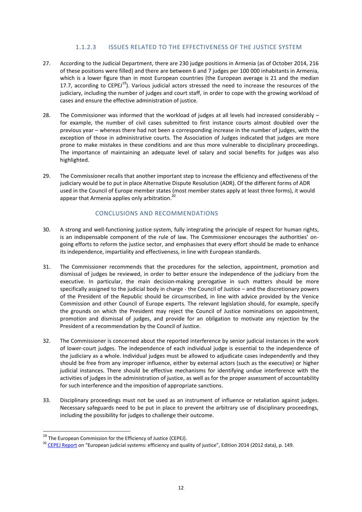## 1.1.2.3 ISSUES RELATED TO THE EFFECTIVENESS OF THE JUSTICE SYSTEM

- <span id="page-11-0"></span>27. According to the Judicial Department, there are 230 judge positions in Armenia (as of October 2014, 216 of these positions were filled) and there are between 6 and 7 judges per 100 000 inhabitants in Armenia, which is a lower figure than in most European countries (the European average is 21 and the median 17.7, according to CEPEJ $^{19}$ ). Various judicial actors stressed the need to increase the resources of the judiciary, including the number of judges and court staff, in order to cope with the growing workload of cases and ensure the effective administration of justice.
- 28. The Commissioner was informed that the workload of judges at all levels had increased considerably for example, the number of civil cases submitted to first instance courts almost doubled over the previous year – whereas there had not been a corresponding increase in the number of judges, with the exception of those in administrative courts. The Association of Judges indicated that judges are more prone to make mistakes in these conditions and are thus more vulnerable to disciplinary proceedings. The importance of maintaining an adequate level of salary and social benefits for judges was also highlighted.
- 29. The Commissioner recalls that another important step to increase the efficiency and effectiveness of the judiciary would be to put in place Alternative Dispute Resolution (ADR). Of the different forms of ADR used in the Council of Europe member states (most member states apply at least three forms), it would appear that Armenia applies only arbitration.<sup>2</sup>

### CONCLUSIONS AND RECOMMENDATIONS

- <span id="page-11-1"></span>30. A strong and well-functioning justice system, fully integrating the principle of respect for human rights, is an indispensable component of the rule of law. The Commissioner encourages the authorities' ongoing efforts to reform the justice sector, and emphasises that every effort should be made to enhance its independence, impartiality and effectiveness, in line with European standards.
- 31. The Commissioner recommends that the procedures for the selection, appointment, promotion and dismissal of judges be reviewed, in order to better ensure the independence of the judiciary from the executive. In particular, the main decision-making prerogative in such matters should be more specifically assigned to the judicial body in charge - the Council of Justice – and the discretionary powers of the President of the Republic should be circumscribed, in line with advice provided by the Venice Commission and other Council of Europe experts. The relevant legislation should, for example, specify the grounds on which the President may reject the Council of Justice nominations on appointment, promotion and dismissal of judges, and provide for an obligation to motivate any rejection by the President of a recommendation by the Council of Justice.
- 32. The Commissioner is concerned about the reported interference by senior judicial instances in the work of lower-court judges. The independence of each individual judge is essential to the independence of the judiciary as a whole. Individual judges must be allowed to adjudicate cases independently and they should be free from any improper influence, either by external actors (such as the executive) or higher judicial instances. There should be effective mechanisms for identifying undue interference with the activities of judges in the administration of justice, as well as for the proper assessment of accountability for such interference and the imposition of appropriate sanctions.
- 33. Disciplinary proceedings must not be used as an instrument of influence or retaliation against judges. Necessary safeguards need to be put in place to prevent the arbitrary use of disciplinary proceedings, including the possibility for judges to challenge their outcome.

<sup>&</sup>lt;sup>19</sup> The European Commission for the Efficiency of Justice (CEPEJ).

<sup>&</sup>lt;sup>20</sup> [CEPEJ Report](http://www.coe.int/t/dghl/cooperation/cepej/evaluation/2014/Rapport_2014_en.pdf) on "European judicial systems: efficiency and quality of justice", Edition 2014 (2012 data), p. 149.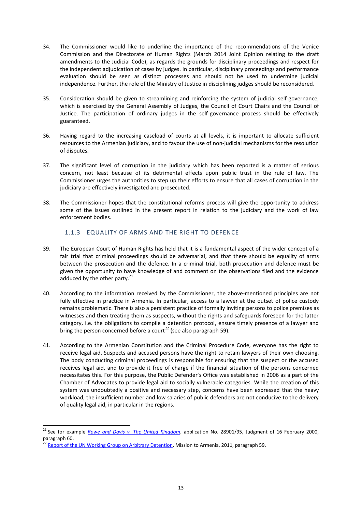- 34. The Commissioner would like to underline the importance of the recommendations of the Venice Commission and the Directorate of Human Rights (March 2014 Joint Opinion relating to the draft amendments to the Judicial Code), as regards the grounds for disciplinary proceedings and respect for the independent adjudication of cases by judges. In particular, disciplinary proceedings and performance evaluation should be seen as distinct processes and should not be used to undermine judicial independence. Further, the role of the Ministry of Justice in disciplining judges should be reconsidered.
- 35. Consideration should be given to streamlining and reinforcing the system of judicial self-governance, which is exercised by the General Assembly of Judges, the Council of Court Chairs and the Council of Justice. The participation of ordinary judges in the self-governance process should be effectively guaranteed.
- 36. Having regard to the increasing caseload of courts at all levels, it is important to allocate sufficient resources to the Armenian judiciary, and to favour the use of non-judicial mechanisms for the resolution of disputes.
- 37. The significant level of corruption in the judiciary which has been reported is a matter of serious concern, not least because of its detrimental effects upon public trust in the rule of law. The Commissioner urges the authorities to step up their efforts to ensure that all cases of corruption in the judiciary are effectively investigated and prosecuted.
- <span id="page-12-0"></span>38. The Commissioner hopes that the constitutional reforms process will give the opportunity to address some of the issues outlined in the present report in relation to the judiciary and the work of law enforcement bodies.

# 1.1.3 EQUALITY OF ARMS AND THE RIGHT TO DEFENCE

- 39. The European Court of Human Rights has held that it is a fundamental aspect of the wider concept of a fair trial that criminal proceedings should be adversarial, and that there should be equality of arms between the prosecution and the defence. In a criminal trial, both prosecution and defence must be given the opportunity to have knowledge of and comment on the observations filed and the evidence adduced by the other party.<sup>21</sup>
- 40. According to the information received by the Commissioner, the above-mentioned principles are not fully effective in practice in Armenia. In particular, access to a lawyer at the outset of police custody remains problematic. There is also a persistent practice of formally inviting persons to police premises as witnesses and then treating them as suspects, without the rights and safeguards foreseen for the latter category, i.e. the obligations to compile a detention protocol, ensure timely presence of a lawyer and bring the person concerned before a court<sup>22</sup> (see also paragraph 59).
- 41. According to the Armenian Constitution and the Criminal Procedure Code, everyone has the right to receive legal aid. Suspects and accused persons have the right to retain lawyers of their own choosing. The body conducting criminal proceedings is responsible for ensuring that the suspect or the accused receives legal aid, and to provide it free of charge if the financial situation of the persons concerned necessitates this. For this purpose, the Public Defender's Office was established in 2006 as a part of the Chamber of Advocates to provide legal aid to socially vulnerable categories. While the creation of this system was undoubtedly a positive and necessary step, concerns have been expressed that the heavy workload, the insufficient number and low salaries of public defenders are not conducive to the delivery of quality legal aid, in particular in the regions.

<sup>&</sup>lt;sup>21</sup> See for example *[Rowe and Davis v. The United Kingdom](http://hudoc.echr.coe.int/sites/eng/pages/search.aspx?i=001-58496)*, application No. 28901/95, Judgment of 16 February 2000, paragraph 60.

<sup>22</sup> [Report of the UN Working Group on Arbitrary Detention,](http://www.ohchr.org/EN/Issues/Detention/Pages/Annual.aspx) Mission to Armenia, 2011, paragraph 59.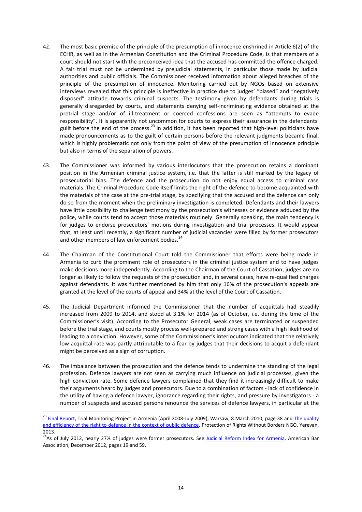- 42. The most basic premise of the principle of the presumption of innocence enshrined in Article 6(2) of the ECHR, as well as in the Armenian Constitution and the Criminal Procedure Code, is that members of a court should not start with the preconceived idea that the accused has committed the offence charged. A fair trial must not be undermined by prejudicial statements, in particular those made by judicial authorities and public officials. The Commissioner received information about alleged breaches of the principle of the presumption of innocence. Monitoring carried out by NGOs based on extensive interviews revealed that this principle is ineffective in practice due to judges' "biased" and "negatively disposed" attitude towards criminal suspects. The testimony given by defendants during trials is generally disregarded by courts, and statements denying self-incriminating evidence obtained at the pretrial stage and/or of ill-treatment or coerced confessions are seen as "attempts to evade responsibility". It is apparently not uncommon for courts to express their assurance in the defendants' guilt before the end of the process.<sup>23</sup> In addition, it has been reported that high-level politicians have made pronouncements as to the guilt of certain persons before the relevant judgments became final, which is highly problematic not only from the point of view of the presumption of innocence principle but also in terms of the separation of powers.
- 43. The Commissioner was informed by various interlocutors that the prosecution retains a dominant position in the Armenian criminal justice system, i.e. that the latter is still marked by the legacy of prosecutorial bias. The defence and the prosecution do not enjoy equal access to criminal case materials. The Criminal Procedure Code itself limits the right of the defence to become acquainted with the materials of the case at the pre-trial stage, by specifying that the accused and the defence can only do so from the moment when the preliminary investigation is completed. Defendants and their lawyers have little possibility to challenge testimony by the prosecution's witnesses or evidence adduced by the police, while courts tend to accept those materials routinely. Generally speaking, the main tendency is for judges to endorse prosecutors' motions during investigation and trial processes. It would appear that, at least until recently, a significant number of judicial vacancies were filled by former prosecutors and other members of law enforcement bodies.<sup>24</sup>
- 44. The Chairman of the Constitutional Court told the Commissioner that efforts were being made in Armenia to curb the prominent role of prosecutors in the criminal justice system and to have judges make decisions more independently. According to the Chairman of the Court of Cassation, judges are no longer as likely to follow the requests of the prosecution and, in several cases, have re-qualified charges against defendants. It was further mentioned by him that only 16% of the prosecution's appeals are granted at the level of the courts of appeal and 34% at the level of the Court of Cassation.
- 45. The Judicial Department informed the Commissioner that the number of acquittals had steadily increased from 2009 to 2014, and stood at 3.1% for 2014 (as of October, i.e. during the time of the Commissioner's visit). According to the Prosecutor General, weak cases are terminated or suspended before the trial stage, and courts mostly process well-prepared and strong cases with a high likelihood of leading to a conviction. However, some of the Commissioner's interlocutors indicated that the relatively low acquittal rate was partly attributable to a fear by judges that their decisions to acquit a defendant might be perceived as a sign of corruption.
- 46. The imbalance between the prosecution and the defence tends to undermine the standing of the legal profession. Defence lawyers are not seen as carrying much influence on judicial processes, given the high conviction rate. Some defence lawyers complained that they find it increasingly difficult to make their arguments heard by judges and prosecutors. Due to a combination of factors - lack of confidence in the utility of having a defence lawyer, ignorance regarding their rights, and pressure by investigators - a number of suspects and accused persons renounce the services of defence lawyers, in particular at the

<sup>&</sup>lt;sup>23</sup> [Final Report,](http://www.osce.org/odihr/41695) Trial Monitoring Project in Armenia (April 2008-July 2009), Warsaw, 8 March 2010, page 38 and The quality [and efficiency of the right to defence in the context of public defence,](http://www.prwb.am/en/node/253) Protection of Rights Without Borders NGO, Yerevan, 2013.

<sup>&</sup>lt;sup>24</sup>As of July 2012, nearly 27% of judges were former prosecutors. See [Judicial Reform Index for Armenia,](http://www.americanbar.org/content/dam/aba/directories/roli/armenia/armenia_jri_vol_iv_english_12_2012.authcheckdam.pdf) American Bar Association, December 2012, pages 19 and 59.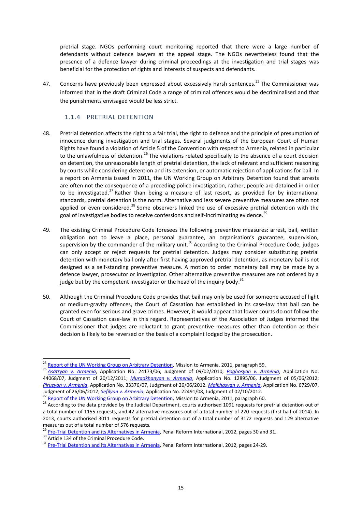pretrial stage. NGOs performing court monitoring reported that there were a large number of defendants without defence lawyers at the appeal stage. The NGOs nevertheless found that the presence of a defence lawyer during criminal proceedings at the investigation and trial stages was beneficial for the protection of rights and interests of suspects and defendants.

47. Concerns have previously been expressed about excessively harsh sentences.<sup>25</sup> The Commissioner was informed that in the draft Criminal Code a range of criminal offences would be decriminalised and that the punishments envisaged would be less strict.

### 1.1.4 PRETRIAL DETENTION

- <span id="page-14-0"></span>48. Pretrial detention affects the right to a fair trial, the right to defence and the principle of presumption of innocence during investigation and trial stages. Several judgments of the European Court of Human Rights have found a violation of Article 5 of the Convention with respect to Armenia, related in particular to the unlawfulness of detention.<sup>26</sup> The violations related specifically to the absence of a court decision on detention, the unreasonable length of pretrial detention, the lack of relevant and sufficient reasoning by courts while considering detention and its extension, or automatic rejection of applications for bail. In a report on Armenia issued in 2011, the UN Working Group on Arbitrary Detention found that arrests are often not the consequence of a preceding police investigation; rather, people are detained in order to be investigated.<sup>27</sup> Rather than being a measure of last resort, as provided for by international standards, pretrial detention is the norm. Alternative and less severe preventive measures are often not applied or even considered.<sup>28</sup> Some observers linked the use of excessive pretrial detention with the goal of investigative bodies to receive confessions and self-incriminating evidence.<sup>29</sup>
- 49. The existing Criminal Procedure Code foresees the following preventive measures: arrest, bail, written obligation not to leave a place, personal guarantee, an organisation's guarantee, supervision, supervision by the commander of the military unit.<sup>30</sup> According to the Criminal Procedure Code, judges can only accept or reject requests for pretrial detention. Judges may consider substituting pretrial detention with monetary bail only after first having approved pretrial detention, as monetary bail is not designed as a self-standing preventive measure. A motion to order monetary bail may be made by a defence lawyer, prosecutor or investigator. Other alternative preventive measures are not ordered by a judge but by the competent investigator or the head of the inquiry body.<sup>31</sup>
- 50. Although the Criminal Procedure Code provides that bail may only be used for someone accused of light or medium-gravity offences, the Court of Cassation has established in its case-law that bail can be granted even for serious and grave crimes. However, it would appear that lower courts do not follow the Court of Cassation case-law in this regard. Representatives of the Association of Judges informed the Commissioner that judges are reluctant to grant preventive measures other than detention as their decision is likely to be reversed on the basis of a complaint lodged by the prosecution.

<sup>&</sup>lt;sup>25</sup> [Report of the UN Working Group on Arbitrary Detention,](http://www.ohchr.org/EN/Issues/Detention/Pages/Annual.aspx) Mission to Armenia, 2011, paragraph 59.

<sup>26</sup> *[Asatryan v. Armenia](http://hudoc.echr.coe.int/sites/eng/Pages/search.aspx#{"fulltext":["asatryan v. Armenia"],"respondent":["ARM"],"documentcollectionid2":["GRANDCHAMBER","CHAMBER"],"itemid":["001-97155"]})*, Application No. 24173/06, Judgment of 09/02/2010; *[Poghosyan v. Armenia](http://hudoc.echr.coe.int/sites/eng/Pages/search.aspx#{"fulltext":["poghosyan v. Armenia"],"documentcollectionid2":["GRANDCHAMBER","CHAMBER"],"itemid":["001-108235"]})*, Application No. 44068/07, Judgment of 20/12/2011; *[Muradkhanyan v. Armenia](http://hudoc.echr.coe.int/sites/eng/pages/search.aspx?i=001-111272#{%22itemid%22:[%22001-111272%22]})*, Application No. 12895/06, Judgment of 05/06/2012; *[Piruzyan v. Armenia](http://hudoc.echr.coe.int/sites/eng/pages/search.aspx?i=001-111631#{%22itemid%22:[%22001-111631%22]})*, Application No. 33376/07, Judgment of 26/06/2012. *[Malkhasyan v. Armenia](http://hudoc.echr.coe.int/sites/eng/pages/search.aspx?i=001-111628#{%22itemid%22:[%22001-111628%22]})*, Application No. 6729/07, Judgment of 26/06/2012; *[Sefilyan v. Armenia](http://hudoc.echr.coe.int/sites/eng/pages/search.aspx?i=001-113296#{%22itemid%22:[%22001-113296%22]})*, Application No. 22491/08, Judgment of 02/10/2012.

<sup>&</sup>lt;sup>27</sup> [Report of the UN Working Group on Arbitrary Detention,](http://www.ohchr.org/EN/Issues/Detention/Pages/Annual.aspx) Mission to Armenia, 2011, paragraph 60.

<sup>&</sup>lt;sup>28</sup> According to the data provided by the Judicial Department, courts authorised 1091 requests for pretrial detention out of a total number of 1155 requests, and 42 alternative measures out of a total number of 220 requests (first half of 2014). In 2013, courts authorised 3011 requests for pretrial detention out of a total number of 3172 requests and 129 alternative measures out of a total number of 576 requests.

<sup>&</sup>lt;sup>29</sup> [Pre-Trial Detention and its Alternatives in Armenia,](http://www.penalreform.org/wp-content/uploads/2013/05/Armenia-Report-PTD-alternatives-ENG.pdf) Penal Reform International, 2012, pages 30 and 31.

<sup>&</sup>lt;sup>30</sup> Article 134 of the Criminal Procedure Code.

<sup>&</sup>lt;sup>31</sup> [Pre-Trial Detention and its Alternatives in Armenia,](http://www.penalreform.org/wp-content/uploads/2013/05/Armenia-Report-PTD-alternatives-ENG.pdf) Penal Reform International, 2012, pages 24-29.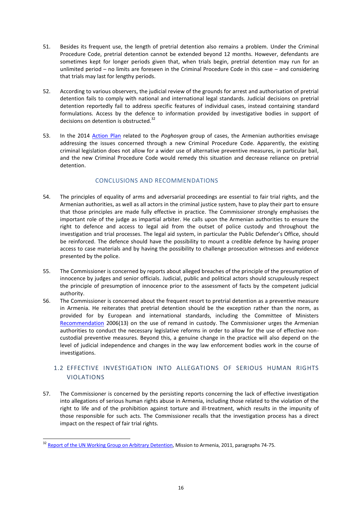- 51. Besides its frequent use, the length of pretrial detention also remains a problem. Under the Criminal Procedure Code, pretrial detention cannot be extended beyond 12 months. However, defendants are sometimes kept for longer periods given that, when trials begin, pretrial detention may run for an unlimited period – no limits are foreseen in the Criminal Procedure Code in this case – and considering that trials may last for lengthy periods.
- 52. According to various observers, the judicial review of the grounds for arrest and authorisation of pretrial detention fails to comply with national and international legal standards. Judicial decisions on pretrial detention reportedly fail to address specific features of individual cases, instead containing standard formulations. Access by the defence to information provided by investigative bodies in support of decisions on detention is obstructed.<sup>32</sup>
- 53. In the 2014 [Action Plan](https://wcd.coe.int/com.instranet.InstraServlet?command=com.instranet.CmdBlobGet&InstranetImage=2480035&SecMode=1&DocId=2118866&Usage=2) related to the *Poghosyan* group of cases, the Armenian authorities envisage addressing the issues concerned through a new Criminal Procedure Code. Apparently, the existing criminal legislation does not allow for a wider use of alternative preventive measures, in particular bail, and the new Criminal Procedure Code would remedy this situation and decrease reliance on pretrial detention.

### CONCLUSIONS AND RECOMMENDATIONS

- <span id="page-15-0"></span>54. The principles of equality of arms and adversarial proceedings are essential to fair trial rights, and the Armenian authorities, as well as all actors in the criminal justice system, have to play their part to ensure that those principles are made fully effective in practice. The Commissioner strongly emphasises the important role of the judge as impartial arbiter. He calls upon the Armenian authorities to ensure the right to defence and access to legal aid from the outset of police custody and throughout the investigation and trial processes. The legal aid system, in particular the Public Defender's Office, should be reinforced. The defence should have the possibility to mount a credible defence by having proper access to case materials and by having the possibility to challenge prosecution witnesses and evidence presented by the police.
- 55. The Commissioner is concerned by reports about alleged breaches of the principle of the presumption of innocence by judges and senior officials. Judicial, public and political actors should scrupulously respect the principle of presumption of innocence prior to the assessment of facts by the competent judicial authority.
- 56. The Commissioner is concerned about the frequent resort to pretrial detention as a preventive measure in Armenia. He reiterates that pretrial detention should be the exception rather than the norm, as provided for by European and international standards, including the Committee of Ministers [Recommendation](https://wcd.coe.int/ViewDoc.jsp?id=1041281) 2006(13) on the use of remand in custody. The Commissioner urges the Armenian authorities to conduct the necessary legislative reforms in order to allow for the use of effective noncustodial preventive measures. Beyond this, a genuine change in the practice will also depend on the level of judicial independence and changes in the way law enforcement bodies work in the course of investigations.

# <span id="page-15-1"></span>1.2 EFFECTIVE INVESTIGATION INTO ALLEGATIONS OF SERIOUS HUMAN RIGHTS VIOLATIONS

57. The Commissioner is concerned by the persisting reports concerning the lack of effective investigation into allegations of serious human rights abuse in Armenia, including those related to the violation of the right to life and of the prohibition against torture and ill-treatment, which results in the impunity of those responsible for such acts. The Commissioner recalls that the investigation process has a direct impact on the respect of fair trial rights.

 $\overline{a}$ <sup>32</sup> [Report of the UN Working Group on Arbitrary Detention,](http://www.ohchr.org/EN/Issues/Detention/Pages/Annual.aspx) Mission to Armenia, 2011, paragraphs 74-75.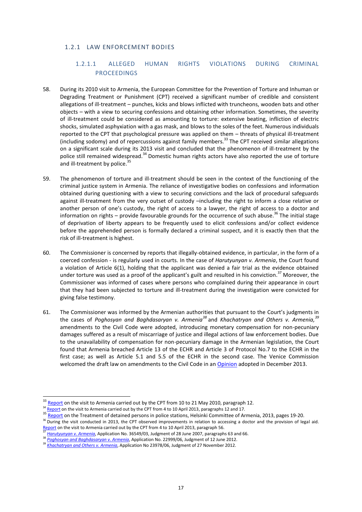#### <span id="page-16-0"></span>1.2.1 LAW ENFORCEMENT BODIES

# 1.2.1.1 ALLEGED HUMAN RIGHTS VIOLATIONS DURING CRIMINAL PROCEEDINGS

- <span id="page-16-1"></span>58. During its 2010 visit to Armenia, the European Committee for the Prevention of Torture and Inhuman or Degrading Treatment or Punishment (CPT) received a significant number of credible and consistent allegations of ill-treatment – punches, kicks and blows inflicted with truncheons, wooden bats and other objects – with a view to securing confessions and obtaining other information. Sometimes, the severity of ill-treatment could be considered as amounting to torture: extensive beating, infliction of electric shocks, simulated asphyxiation with a gas mask, and blows to the soles of the feet. Numerous individuals reported to the CPT that psychological pressure was applied on them – threats of physical ill-treatment (including sodomy) and of repercussions against family members. <sup>33</sup> The CPT received similar allegations on a significant scale during its 2013 visit and concluded that the phenomenon of ill-treatment by the police still remained widespread.<sup>34</sup> Domestic human rights actors have also reported the use of torture and ill-treatment by police.<sup>35</sup>
- 59. The phenomenon of torture and ill-treatment should be seen in the context of the functioning of the criminal justice system in Armenia. The reliance of investigative bodies on confessions and information obtained during questioning with a view to securing convictions and the lack of procedural safeguards against ill-treatment from the very outset of custody –including the right to inform a close relative or another person of one's custody, the right of access to a lawyer, the right of access to a doctor and information on rights – provide favourable grounds for the occurrence of such abuse.<sup>36</sup> The initial stage of deprivation of liberty appears to be frequently used to elicit confessions and/or collect evidence before the apprehended person is formally declared a criminal suspect, and it is exactly then that the risk of ill-treatment is highest.
- 60. The Commissioner is concerned by reports that illegally-obtained evidence, in particular, in the form of a coerced confession - is regularly used in courts. In the case of *Harutyunyan v. Armenia*, the Court found a violation of Article 6(1), holding that the applicant was denied a fair trial as the evidence obtained under torture was used as a proof of the applicant's guilt and resulted in his conviction.<sup>37</sup> Moreover, the Commissioner was informed of cases where persons who complained during their appearance in court that they had been subjected to torture and ill-treatment during the investigation were convicted for giving false testimony.
- 61. The Commissioner was informed by the Armenian authorities that pursuant to the Court's judgments in the cases of *Poghosyan and Baghdasaryan v. Armenia<sup>38</sup>* and *Khachatryan and Others v. Armenia, 39* amendments to the Civil Code were adopted, introducing monetary compensation for non-pecuniary damages suffered as a result of miscarriage of justice and illegal actions of law enforcement bodies. Due to the unavailability of compensation for non-pecuniary damage in the Armenian legislation, the Court found that Armenia breached Article 13 of the ECHR and Article 3 of Protocol No.7 to the ECHR in the first case; as well as Article 5.1 and 5.5 of the ECHR in the second case. The Venice Commission welcomed the draft law on amendments to the Civil Code in a[n Opinion](http://www.venice.coe.int/webforms/documents/default.aspx?pdffile=CDL-AD(2013)037-e) adopted in December 2013.

<sup>&</sup>lt;sup>33</sup> [Report](http://www.cpt.coe.int/documents/arm/2011-24-inf-eng.pdf) on the visit to Armenia carried out by the CPT from 10 to 21 May 2010, paragraph 12.

<sup>&</sup>lt;sup>34</sup> [Report](http://www.cpt.coe.int/documents/arm/2015-08-inf-eng.pdf) on the visit to Armenia carried out by the CPT from 4 to 10 April 2013, paragraphs 12 and 17.

<sup>&</sup>lt;sup>35</sup> [Report](http://armhels.com/wp-content/uploads/2013/04/zekuyc-2013Engl.pdf) on the Treatment of detained persons in police stations, Helsinki Committee of Armenia, 2013, pages 19-20.

<sup>&</sup>lt;sup>36</sup> During the visit conducted in 2013, the CPT observed improvements in relation to accessing a doctor and the provision of legal aid. [Report](http://www.cpt.coe.int/documents/arm/2015-08-inf-eng.pdf) on the visit to Armenia carried out by the CPT from 4 to 10 April 2013, paragraph 56.

<sup>&</sup>lt;sup>37</sup> *[Harutyunyan v. Armenia](http://hudoc.echr.coe.int/sites/eng/pages/search.aspx?i=001-81352#{%22itemid%22:[%22001-81352%22]})*, Application No. 36549/03, Judgment of 28 June 2007, paragraphs 63 and 66.

<sup>38</sup> *[Poghosyan and Baghdasaryan v. Armenia](http://hudoc.echr.coe.int/sites/eng/pages/search.aspx?i=001-111416#{%22itemid%22:[%22001-111416%22]})*, Application No. 22999/06, Judgment of 12 June 2012.

<sup>39</sup> *[Khachatryan and Others v. Armenia](http://hudoc.echr.coe.int/sites/eng/pages/search.aspx?i=001-114785#{%22itemid%22:[%22001-114785%22]})*, Application No 23978/06, Judgment of 27 November 2012.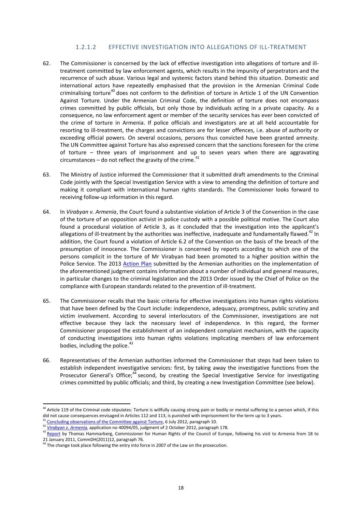### 1.2.1.2 EFFECTIVE INVESTIGATION INTO ALLEGATIONS OF ILL-TREATMENT

- <span id="page-17-0"></span>62. The Commissioner is concerned by the lack of effective investigation into allegations of torture and illtreatment committed by law enforcement agents, which results in the impunity of perpetrators and the recurrence of such abuse. Various legal and systemic factors stand behind this situation. Domestic and international actors have repeatedly emphasised that the provision in the Armenian Criminal Code criminalising torture<sup>40</sup> does not conform to the definition of torture in Article 1 of the UN Convention Against Torture. Under the Armenian Criminal Code, the definition of torture does not encompass crimes committed by public officials, but only those by individuals acting in a private capacity. As a consequence, no law enforcement agent or member of the security services has ever been convicted of the crime of torture in Armenia. If police officials and investigators are at all held accountable for resorting to ill-treatment, the charges and convictions are for lesser offences, i.e. abuse of authority or exceeding official powers. On several occasions, persons thus convicted have been granted amnesty. The UN Committee against Torture has also expressed concern that the sanctions foreseen for the crime of torture – three years of imprisonment and up to seven years when there are aggravating circumstances – do not reflect the gravity of the crime.<sup>41</sup>
- 63. The Ministry of Justice informed the Commissioner that it submitted draft amendments to the Criminal Code jointly with the Special Investigation Service with a view to amending the definition of torture and making it compliant with international human rights standards. The Commissioner looks forward to receiving follow-up information in this regard.
- 64. In *Virabyan v. Armenia*, the Court found a substantive violation of Article 3 of the Convention in the case of the torture of an opposition activist in police custody with a possible political motive. The Court also found a procedural violation of Article 3, as it concluded that the investigation into the applicant's allegations of ill-treatment by the authorities was ineffective, inadequate and fundamentally flawed.<sup>42</sup> In addition, the Court found a violation of Article 6.2 of the Convention on the basis of the breach of the presumption of innocence. The Commissioner is concerned by reports according to which one of the persons complicit in the torture of Mr Virabyan had been promoted to a higher position within the Police Service. The 2013 [Action Plan](https://wcd.coe.int/com.instranet.InstraServlet?command=com.instranet.CmdBlobGet&InstranetImage=2415478&SecMode=1&DocId=2088594&Usage=2) submitted by the Armenian authorities on the implementation of the aforementioned judgment contains information about a number of individual and general measures, in particular changes to the criminal legislation and the 2013 Order issued by the Chief of Police on the compliance with European standards related to the prevention of ill-treatment.
- 65. The Commissioner recalls that the basic criteria for effective investigations into human rights violations that have been defined by the Court include: independence, adequacy, promptness, public scrutiny and victim involvement. According to several interlocutors of the Commissioner, investigations are not effective because they lack the necessary level of independence. In this regard, the former Commissioner proposed the establishment of an independent complaint mechanism, with the capacity of conducting investigations into human rights violations implicating members of law enforcement bodies, including the police.<sup>43</sup>
- 66. Representatives of the Armenian authorities informed the Commissioner that steps had been taken to establish independent investigative services: first, by taking away the investigative functions from the Prosecutor General's Office;<sup>44</sup> second, by creating the Special Investigative Service for investigating crimes committed by public officials; and third, by creating a new Investigation Committee (see below).

 $^{40}$  Article 119 of the Criminal code stipulates: Torture is willfully causing strong pain or bodily or mental suffering to a person which, if this did not cause consequences envisaged in Articles 112 and 113, is punished with imprisonment for the term up to 3 years. <sup>41</sup> [Concluding observations of the Committee against Torture,](http://tbinternet.ohchr.org/_layouts/treatybodyexternal/Download.aspx?symbolno=CAT/C/ARM/CO/3&Lang=En) 6 July 2012, paragraph 10.

<sup>42</sup> *[Virabyan v. Armenia](http://hudoc.echr.coe.int/sites/eng/pages/search.aspx?i=001-113302#{%22itemid%22:[%22001-113302%22]})*, application no 40094/05, judgment of 2 October 2012, paragraph 178.

<sup>43</sup> [Report](https://wcd.coe.int/ViewDoc.jsp?id=1784273&Site=CommDH&BackColorInternet=FEC65B&BackColorIntranet=FEC65B&BackColorLogged=FFC679) by Thomas Hammarberg, Commissioner for Human Rights of the Council of Europe, following his visit to Armenia from 18 to 21 January 2011, CommDH(2011)12, paragraph 76.

 $44$  The change took place following the entry into force in 2007 of the Law on the prosecution.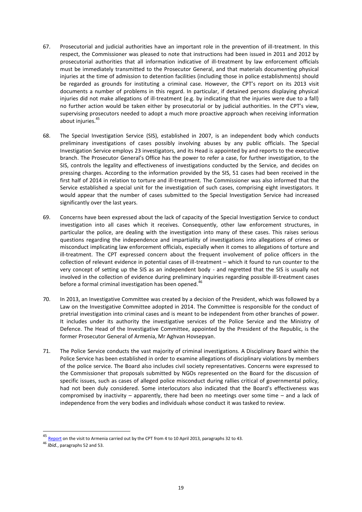- 67. Prosecutorial and judicial authorities have an important role in the prevention of ill-treatment. In this respect, the Commissioner was pleased to note that instructions had been issued in 2011 and 2012 by prosecutorial authorities that all information indicative of ill-treatment by law enforcement officials must be immediately transmitted to the Prosecutor General, and that materials documenting physical injuries at the time of admission to detention facilities (including those in police establishments) should be regarded as grounds for instituting a criminal case. However, the CPT's report on its 2013 visit documents a number of problems in this regard. In particular, if detained persons displaying physical injuries did not make allegations of ill-treatment (e.g. by indicating that the injuries were due to a fall) no further action would be taken either by prosecutorial or by judicial authorities. In the CPT's view, supervising prosecutors needed to adopt a much more proactive approach when receiving information about injuries.<sup>45</sup>
- 68. The Special Investigation Service (SIS), established in 2007, is an independent body which conducts preliminary investigations of cases possibly involving abuses by any public officials. The Special Investigation Service employs 23 investigators, and its Head is appointed by and reports to the executive branch. The Prosecutor General's Office has the power to refer a case, for further investigation, to the SIS, controls the legality and effectiveness of investigations conducted by the Service, and decides on pressing charges. According to the information provided by the SIS, 51 cases had been received in the first half of 2014 in relation to torture and ill-treatment. The Commissioner was also informed that the Service established a special unit for the investigation of such cases, comprising eight investigators. It would appear that the number of cases submitted to the Special Investigation Service had increased significantly over the last years.
- 69. Concerns have been expressed about the lack of capacity of the Special Investigation Service to conduct investigation into all cases which it receives. Consequently, other law enforcement structures, in particular the police, are dealing with the investigation into many of these cases. This raises serious questions regarding the independence and impartiality of investigations into allegations of crimes or misconduct implicating law enforcement officials, especially when it comes to allegations of torture and ill-treatment. The CPT expressed concern about the frequent involvement of police officers in the collection of relevant evidence in potential cases of ill-treatment – which it found to run counter to the very concept of setting up the SIS as an independent body - and regretted that the SIS is usually not involved in the collection of evidence during preliminary inquiries regarding possible ill-treatment cases before a formal criminal investigation has been opened.<sup>4</sup> I,
- 70. In 2013, an Investigative Committee was created by a decision of the President, which was followed by a Law on the Investigative Committee adopted in 2014. The Committee is responsible for the conduct of pretrial investigation into criminal cases and is meant to be independent from other branches of power. It includes under its authority the investigative services of the Police Service and the Ministry of Defence. The Head of the Investigative Committee, appointed by the President of the Republic, is the former Prosecutor General of Armenia, Mr Aghvan Hovsepyan.
- 71. The Police Service conducts the vast majority of criminal investigations. A Disciplinary Board within the Police Service has been established in order to examine allegations of disciplinary violations by members of the police service. The Board also includes civil society representatives. Concerns were expressed to the Commissioner that proposals submitted by NGOs represented on the Board for the discussion of specific issues, such as cases of alleged police misconduct during rallies critical of governmental policy, had not been duly considered. Some interlocutors also indicated that the Board's effectiveness was compromised by inactivity – apparently, there had been no meetings over some time – and a lack of independence from the very bodies and individuals whose conduct it was tasked to review.

<sup>45</sup> [Report](http://www.cpt.coe.int/documents/arm/2015-08-inf-eng.pdf) on the visit to Armenia carried out by the CPT from 4 to 10 April 2013, paragraphs 32 to 43.

<sup>&</sup>lt;sup>46</sup> *Ibid.*, paragraphs 52 and 53.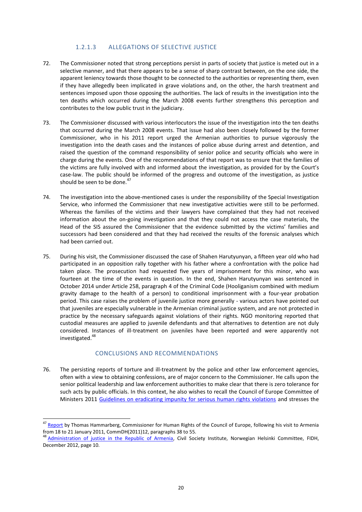## 1.2.1.3 ALLEGATIONS OF SELECTIVE JUSTICE

- <span id="page-19-0"></span>72. The Commissioner noted that strong perceptions persist in parts of society that justice is meted out in a selective manner, and that there appears to be a sense of sharp contrast between, on the one side, the apparent leniency towards those thought to be connected to the authorities or representing them, even if they have allegedly been implicated in grave violations and, on the other, the harsh treatment and sentences imposed upon those opposing the authorities. The lack of results in the investigation into the ten deaths which occurred during the March 2008 events further strengthens this perception and contributes to the low public trust in the judiciary.
- 73. The Commissioner discussed with various interlocutors the issue of the investigation into the ten deaths that occurred during the March 2008 events. That issue had also been closely followed by the former Commissioner, who in his 2011 report urged the Armenian authorities to pursue vigorously the investigation into the death cases and the instances of police abuse during arrest and detention, and raised the question of the command responsibility of senior police and security officials who were in charge during the events. One of the recommendations of that report was to ensure that the families of the victims are fully involved with and informed about the investigation, as provided for by the Court's case-law. The public should be informed of the progress and outcome of the investigation, as justice should be seen to be done. $47$
- 74. The investigation into the above-mentioned cases is under the responsibility of the Special Investigation Service, who informed the Commissioner that new investigative activities were still to be performed. Whereas the families of the victims and their lawyers have complained that they had not received information about the on-going investigation and that they could not access the case materials, the Head of the SIS assured the Commissioner that the evidence submitted by the victims' families and successors had been considered and that they had received the results of the forensic analyses which had been carried out.
- 75. During his visit, the Commissioner discussed the case of Shahen Harutyunyan, a fifteen year old who had participated in an opposition rally together with his father where a confrontation with the police had taken place. The prosecution had requested five years of imprisonment for this minor, who was fourteen at the time of the events in question. In the end, Shahen Harutyunyan was sentenced in October 2014 under Article 258, paragraph 4 of the Criminal Code (Hooliganism combined with medium gravity damage to the health of a person) to conditional imprisonment with a four-year probation period. This case raises the problem of juvenile justice more generally - various actors have pointed out that juveniles are especially vulnerable in the Armenian criminal justice system, and are not protected in practice by the necessary safeguards against violations of their rights. NGO monitoring reported that custodial measures are applied to juvenile defendants and that alternatives to detention are not duly considered. Instances of ill-treatment on juveniles have been reported and were apparently not investigated. 48

### CONCLUSIONS AND RECOMMENDATIONS

<span id="page-19-1"></span>76. The persisting reports of torture and ill-treatment by the police and other law enforcement agencies, often with a view to obtaining confessions, are of major concern to the Commissioner. He calls upon the senior political leadership and law enforcement authorities to make clear that there is zero tolerance for such acts by public officials. In this context, he also wishes to recall the Council of Europe Committee of Ministers 2011 [Guidelines on eradicating impunity for serious human rights violations](https://wcd.coe.int/ViewDoc.jsp?id=1769177) and stresses the

 $\overline{a}$ <sup>47</sup> [Report](https://wcd.coe.int/ViewDoc.jsp?id=1784273&Site=CommDH&BackColorInternet=FEC65B&BackColorIntranet=FEC65B&BackColorLogged=FFC679) by Thomas Hammarberg, Commissioner for Human Rights of the Council of Europe, following his visit to Armenia from 18 to 21 January 2011, CommDH(2011)12, paragraphs 38 to 55.

<sup>&</sup>lt;sup>48</sup> [Administration of justice in the Republic of Armenia,](https://www.fidh.org/IMG/pdf/administration_of_justice_in_armenia.pdf) Civil Society Institute, Norwegian Helsinki Committee, FIDH, December 2012, page 10.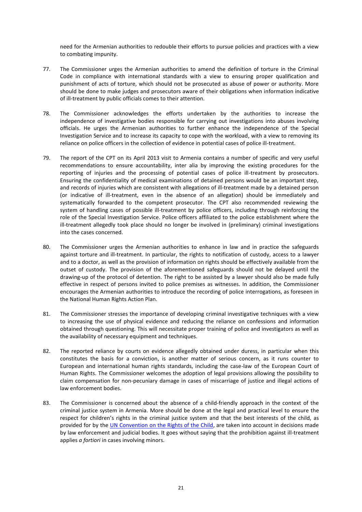need for the Armenian authorities to redouble their efforts to pursue policies and practices with a view to combating impunity.

- 77. The Commissioner urges the Armenian authorities to amend the definition of torture in the Criminal Code in compliance with international standards with a view to ensuring proper qualification and punishment of acts of torture, which should not be prosecuted as abuse of power or authority. More should be done to make judges and prosecutors aware of their obligations when information indicative of ill-treatment by public officials comes to their attention.
- 78. The Commissioner acknowledges the efforts undertaken by the authorities to increase the independence of investigative bodies responsible for carrying out investigations into abuses involving officials. He urges the Armenian authorities to further enhance the independence of the Special Investigation Service and to increase its capacity to cope with the workload, with a view to removing its reliance on police officers in the collection of evidence in potential cases of police ill-treatment.
- 79. The report of the CPT on its April 2013 visit to Armenia contains a number of specific and very useful recommendations to ensure accountability, inter alia by improving the existing procedures for the reporting of injuries and the processing of potential cases of police ill-treatment by prosecutors. Ensuring the confidentiality of medical examinations of detained persons would be an important step, and records of injuries which are consistent with allegations of ill-treatment made by a detained person (or indicative of ill-treatment, even in the absence of an allegation) should be immediately and systematically forwarded to the competent prosecutor. The CPT also recommended reviewing the system of handling cases of possible ill-treatment by police officers, including through reinforcing the role of the Special Investigation Service. Police officers affiliated to the police establishment where the ill-treatment allegedly took place should no longer be involved in (preliminary) criminal investigations into the cases concerned.
- 80. The Commissioner urges the Armenian authorities to enhance in law and in practice the safeguards against torture and ill-treatment. In particular, the rights to notification of custody, access to a lawyer and to a doctor, as well as the provision of information on rights should be effectively available from the outset of custody. The provision of the aforementioned safeguards should not be delayed until the drawing-up of the protocol of detention. The right to be assisted by a lawyer should also be made fully effective in respect of persons invited to police premises as witnesses. In addition, the Commissioner encourages the Armenian authorities to introduce the recording of police interrogations, as foreseen in the National Human Rights Action Plan.
- 81. The Commissioner stresses the importance of developing criminal investigative techniques with a view to increasing the use of physical evidence and reducing the reliance on confessions and information obtained through questioning. This will necessitate proper training of police and investigators as well as the availability of necessary equipment and techniques.
- 82. The reported reliance by courts on evidence allegedly obtained under duress, in particular when this constitutes the basis for a conviction, is another matter of serious concern, as it runs counter to European and international human rights standards, including the case-law of the European Court of Human Rights. The Commissioner welcomes the adoption of legal provisions allowing the possibility to claim compensation for non-pecuniary damage in cases of miscarriage of justice and illegal actions of law enforcement bodies.
- 83. The Commissioner is concerned about the absence of a child-friendly approach in the context of the criminal justice system in Armenia. More should be done at the legal and practical level to ensure the respect for children's rights in the criminal justice system and that the best interests of the child, as provided for by the [UN Convention on the Rights of the Child,](http://www.ohchr.org/en/professionalinterest/pages/crc.aspx) are taken into account in decisions made by law enforcement and judicial bodies. It goes without saying that the prohibition against ill-treatment applies *a fortiori* in cases involving minors.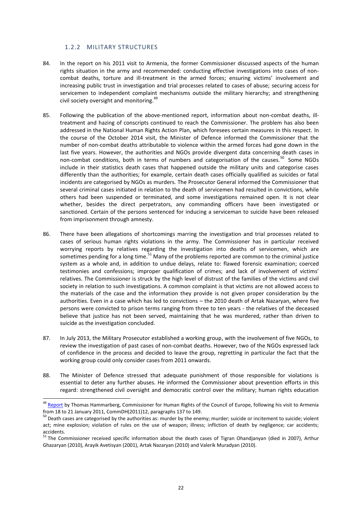#### 1.2.2 MILITARY STRUCTURES

- <span id="page-21-0"></span>84. In the report on his 2011 visit to Armenia, the former Commissioner discussed aspects of the human rights situation in the army and recommended: conducting effective investigations into cases of noncombat deaths, torture and ill-treatment in the armed forces; ensuring victims' involvement and increasing public trust in investigation and trial processes related to cases of abuse; securing access for servicemen to independent complaint mechanisms outside the military hierarchy; and strengthening civil society oversight and monitoring.<sup>49</sup>
- 85. Following the publication of the above-mentioned report, information about non-combat deaths, illtreatment and hazing of conscripts continued to reach the Commissioner. The problem has also been addressed in the National Human Rights Action Plan, which foresees certain measures in this respect. In the course of the October 2014 visit, the Minister of Defence informed the Commissioner that the number of non-combat deaths attributable to violence within the armed forces had gone down in the last five years. However, the authorities and NGOs provide divergent data concerning death cases in non-combat conditions, both in terms of numbers and categorisation of the causes.<sup>50</sup> Some NGOs include in their statistics death cases that happened outside the military units and categorise cases differently than the authorities; for example, certain death cases officially qualified as suicides or fatal incidents are categorised by NGOs as murders. The Prosecutor General informed the Commissioner that several criminal cases initiated in relation to the death of servicemen had resulted in convictions, while others had been suspended or terminated, and some investigations remained open. It is not clear whether, besides the direct perpetrators, any commanding officers have been investigated or sanctioned. Certain of the persons sentenced for inducing a serviceman to suicide have been released from imprisonment through amnesty.
- 86. There have been allegations of shortcomings marring the investigation and trial processes related to cases of serious human rights violations in the army. The Commissioner has in particular received worrying reports by relatives regarding the investigation into deaths of servicemen, which are sometimes pending for a long time.<sup>51</sup> Many of the problems reported are common to the criminal justice system as a whole and, in addition to undue delays, relate to: flawed forensic examination; coerced testimonies and confessions; improper qualification of crimes; and lack of involvement of victims' relatives. The Commissioner is struck by the high level of distrust of the families of the victims and civil society in relation to such investigations. A common complaint is that victims are not allowed access to the materials of the case and the information they provide is not given proper consideration by the authorities. Even in a case which has led to convictions – the 2010 death of Artak Nazaryan, where five persons were convicted to prison terms ranging from three to ten years - the relatives of the deceased believe that justice has not been served, maintaining that he was murdered, rather than driven to suicide as the investigation concluded.
- 87. In July 2013, the Military Prosecutor established a working group, with the involvement of five NGOs, to review the investigation of past cases of non-combat deaths. However, two of the NGOs expressed lack of confidence in the process and decided to leave the group, regretting in particular the fact that the working group could only consider cases from 2011 onwards.
- 88. The Minister of Defence stressed that adequate punishment of those responsible for violations is essential to deter any further abuses. He informed the Commissioner about prevention efforts in this regard: strengthened civil oversight and democratic control over the military; human rights education

<sup>&</sup>lt;sup>49</sup> [Report](https://wcd.coe.int/ViewDoc.jsp?id=1784273&Site=CommDH&BackColorInternet=FEC65B&BackColorIntranet=FEC65B&BackColorLogged=FFC679) by Thomas Hammarberg, Commissioner for Human Rights of the Council of Europe, following his visit to Armenia from 18 to 21 January 2011, CommDH(2011)12, paragraphs 137 to 149.

<sup>&</sup>lt;sup>50</sup> Death cases are categorised by the authorities as: murder by the enemy; murder; suicide or incitement to suicide; violent act; mine explosion; violation of rules on the use of weapon; illness; infliction of death by negligence; car accidents; accidents.

<sup>&</sup>lt;sup>51</sup> The Commissioner received specific information about the death cases of Tigran Ohandjanyan (died in 2007), Arthur Ghazaryan (2010), Arayik Avetisyan (2001), Artak Nazaryan (2010) and Valerik Muradyan (2010).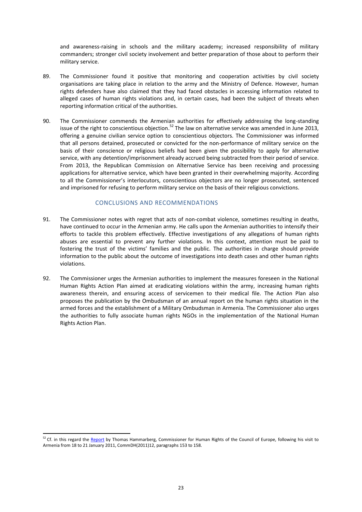and awareness-raising in schools and the military academy; increased responsibility of military commanders; stronger civil society involvement and better preparation of those about to perform their military service.

- 89. The Commissioner found it positive that monitoring and cooperation activities by civil society organisations are taking place in relation to the army and the Ministry of Defence. However, human rights defenders have also claimed that they had faced obstacles in accessing information related to alleged cases of human rights violations and, in certain cases, had been the subject of threats when reporting information critical of the authorities.
- 90. The Commissioner commends the Armenian authorities for effectively addressing the long-standing issue of the right to conscientious objection.<sup>52</sup> The law on alternative service was amended in June 2013, offering a genuine civilian service option to conscientious objectors. The Commissioner was informed that all persons detained, prosecuted or convicted for the non-performance of military service on the basis of their conscience or religious beliefs had been given the possibility to apply for alternative service, with any detention/imprisonment already accrued being subtracted from their period of service. From 2013, the Republican Commission on Alternative Service has been receiving and processing applications for alternative service, which have been granted in their overwhelming majority. According to all the Commissioner's interlocutors, conscientious objectors are no longer prosecuted, sentenced and imprisoned for refusing to perform military service on the basis of their religious convictions.

#### CONCLUSIONS AND RECOMMENDATIONS

- <span id="page-22-0"></span>91. The Commissioner notes with regret that acts of non-combat violence, sometimes resulting in deaths, have continued to occur in the Armenian army. He calls upon the Armenian authorities to intensify their efforts to tackle this problem effectively. Effective investigations of any allegations of human rights abuses are essential to prevent any further violations. In this context, attention must be paid to fostering the trust of the victims' families and the public. The authorities in charge should provide information to the public about the outcome of investigations into death cases and other human rights violations.
- 92. The Commissioner urges the Armenian authorities to implement the measures foreseen in the National Human Rights Action Plan aimed at eradicating violations within the army, increasing human rights awareness therein, and ensuring access of servicemen to their medical file. The Action Plan also proposes the publication by the Ombudsman of an annual report on the human rights situation in the armed forces and the establishment of a Military Ombudsman in Armenia. The Commissioner also urges the authorities to fully associate human rights NGOs in the implementation of the National Human Rights Action Plan.

<sup>&</sup>lt;sup>52</sup> Cf. in this regard the [Report](https://wcd.coe.int/ViewDoc.jsp?id=1784273&Site=CommDH&BackColorInternet=FEC65B&BackColorIntranet=FEC65B&BackColorLogged=FFC679) by Thomas Hammarberg, Commissioner for Human Rights of the Council of Europe, following his visit to Armenia from 18 to 21 January 2011, CommDH(2011)12, paragraphs 153 to 158.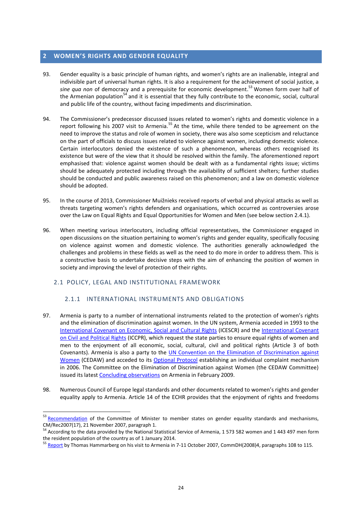## <span id="page-23-0"></span>**2 WOMEN'S RIGHTS AND GENDER EQUALITY**

- 93. Gender equality is a basic principle of human rights, and women's rights are an inalienable, integral and indivisible part of universal human rights. It is also a requirement for the achievement of social justice, a *sine qua non* of democracy and a prerequisite for economic development. <sup>53</sup> Women form over half of the Armenian population<sup>54</sup> and it is essential that they fully contribute to the economic, social, cultural and public life of the country, without facing impediments and discrimination.
- 94. The Commissioner's predecessor discussed issues related to women's rights and domestic violence in a report following his 2007 visit to Armenia.<sup>55</sup> At the time, while there tended to be agreement on the need to improve the status and role of women in society, there was also some scepticism and reluctance on the part of officials to discuss issues related to violence against women, including domestic violence. Certain interlocutors denied the existence of such a phenomenon, whereas others recognised its existence but were of the view that it should be resolved within the family. The aforementioned report emphasised that: violence against women should be dealt with as a fundamental rights issue; victims should be adequately protected including through the availability of sufficient shelters; further studies should be conducted and public awareness raised on this phenomenon; and a law on domestic violence should be adopted.
- 95. In the course of 2013, Commissioner Muižnieks received reports of verbal and physical attacks as well as threats targeting women's rights defenders and organisations, which occurred as controversies arose over the Law on Equal Rights and Equal Opportunities for Women and Men (see below section 2.4.1).
- 96. When meeting various interlocutors, including official representatives, the Commissioner engaged in open discussions on the situation pertaining to women's rights and gender equality, specifically focusing on violence against women and domestic violence. The authorities generally acknowledged the challenges and problems in these fields as well as the need to do more in order to address them. This is a constructive basis to undertake decisive steps with the aim of enhancing the position of women in society and improving the level of protection of their rights.

### <span id="page-23-1"></span>2.1 POLICY, LEGAL AND INSTITUTIONAL FRAMEWORK

 $\overline{a}$ 

### 2.1.1 INTERNATIONAL INSTRUMENTS AND OBLIGATIONS

- <span id="page-23-2"></span>97. Armenia is party to a number of international instruments related to the protection of women's rights and the elimination of discrimination against women. In the UN system, Armenia acceded in 1993 to the [International Covenant on Economic, Social and Cultural Rights](http://www.ohchr.org/EN/ProfessionalInterest/Pages/CESCR.aspx) (ICESCR) and the [International Covenant](http://www.ohchr.org/en/professionalinterest/pages/ccpr.aspx)  [on Civil and Political Rights](http://www.ohchr.org/en/professionalinterest/pages/ccpr.aspx) (ICCPR), which request the state parties to ensure equal rights of women and men to the enjoyment of all economic, social, cultural, civil and political rights (Article 3 of both Covenants). Armenia is also a party to the UN Convention on the Elimination of Discrimination against [Women](http://www.ohchr.org/en/ProfessionalInterest/pages/cedaw.aspx) (CEDAW) and acceded to its [Optional Protocol](http://www.ohchr.org/EN/ProfessionalInterest/Pages/OPCEDAW.aspx) establishing an individual complaint mechanism in 2006. The Committee on the Elimination of Discrimination against Women (the CEDAW Committee) issued its lates[t Concluding observations](http://tbinternet.ohchr.org/_layouts/treatybodyexternal/Download.aspx?symbolno=CEDAW/C/ARM/CO/4/Rev.1&Lang=En) on Armenia in February 2009.
- 98. Numerous Council of Europe legal standards and other documents related to women's rights and gender equality apply to Armenia. Article 14 of the ECHR provides that the enjoyment of rights and freedoms

<sup>&</sup>lt;sup>53</sup> [Recommendation](https://wcd.coe.int/ViewDoc.jsp?id=1215219&Site=CM) of the Committee of Minister to member states on gender equality standards and mechanisms, CM/Rec2007(17), 21 November 2007, paragraph 1.

<sup>&</sup>lt;sup>54</sup> According to the data provided by the National Statistical Service of Armenia, 1 573 582 women and 1 443 497 men form the resident population of the country as of 1 January 2014.

[Report](https://wcd.coe.int/ViewDoc.jsp?id=1283639&Site=CommDH&BackColorInternet=FEC65B&BackColorIntranet=FEC65B&BackColorLogged=FFC679) by Thomas Hammarberg on his visit to Armenia in 7-11 October 2007, CommDH(2008)4, paragraphs 108 to 115.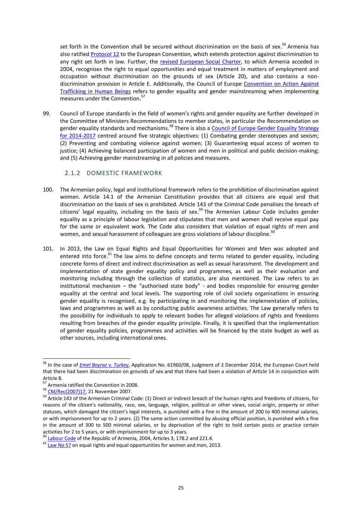set forth in the Convention shall be secured without discrimination on the basis of sex.<sup>56</sup> Armenia has also ratified [Protocol 12](http://conventions.coe.int/Treaty/en/Treaties/html/177.htm) to the European Convention, which extends protection against discrimination to any right set forth in law. Further, the [revised European Social Charter,](http://conventions.coe.int/treaty/en/treaties/html/163.htm) to which Armenia acceded in 2004, recognises the right to equal opportunities and equal treatment in matters of employment and occupation without discrimination on the grounds of sex (Article 20), and also contains a nondiscrimination provision in Article E. Additionally, the Council of Europe [Convention on Action Against](http://conventions.coe.int/Treaty/en/Treaties/Html/197.htm)  [Trafficking in Human Beings](http://conventions.coe.int/Treaty/en/Treaties/Html/197.htm) refers to gender equality and gender mainstreaming when implementing measures under the Convention. 57

99. Council of Europe standards in the field of women's rights and gender equality are further developed in the Committee of Ministers Recommendations to member states, in particular the Recommendation on gender equality standards and mechanisms.<sup>58</sup> There is also a <u>Council of Europe Gender Equality Strategy</u> [for 2014-2017](http://www.coe.int/t/dghl/standardsetting/equality/02_GenderEqualityProgramme/Council%20of%20Europe%20Gender%20Equality%20Strategy%202014-2017.pdf) centred around five strategic objectives: (1) Combating gender stereotypes and sexism; (2) Preventing and combating violence against women; (3) Guaranteeing equal access of women to justice; (4) Achieving balanced participation of women and men in political and public decision-making; and (5) Achieving gender mainstreaming in all policies and measures.

### 2.1.2 DOMESTIC FRAMEWORK

- <span id="page-24-0"></span>100. The Armenian policy, legal and institutional framework refers to the prohibition of discrimination against women. Article 14.1 of the Armenian Constitution provides that all citizens are equal and that discrimination on the basis of sex is prohibited. Article 143 of the Criminal Code penalises the breach of citizens' legal equality, including on the basis of sex.<sup>59</sup> The Armenian Labour Code includes gender equality as a principle of labour legislation and stipulates that men and women shall receive equal pay for the same or equivalent work. The Code also considers that violation of equal rights of men and women, and sexual harassment of colleagues are gross violations of labour discipline.  $^{60}$
- 101. In 2013, the Law on Equal Rights and Equal Opportunities for Women and Men was adopted and entered into force.<sup>61</sup> The law aims to define concepts and terms related to gender equality, including concrete forms of direct and indirect discrimination as well as sexual harassment. The development and implementation of state gender equality policy and programmes, as well as their evaluation and monitoring including through the collection of statistics, are also mentioned. The Law refers to an institutional mechanism – the "authorised state body" - and bodies responsible for ensuring gender equality at the central and local levels. The supporting role of civil society organisations in ensuring gender equality is recognised, e.g. by participating in and monitoring the implementation of policies, laws and programmes as well as by conducting public awareness activities. The Law generally refers to the possibility for individuals to apply to relevant bodies for alleged violations of rights and freedoms resulting from breaches of the gender equality principle. Finally, it is specified that the implementation of gender equality policies, programmes and activities will be financed by the state budget as well as other sources, including international ones.

<sup>&</sup>lt;sup>56</sup> In the case of *[Emel Boyraz v. Turkey](http://hudoc.echr.coe.int/sites/eng/pages/search.aspx?i=001-148271)*, Application No. 61960/08, Judgment of 2 December 2014, the European Court held that there had been discrimination on grounds of sex and that there had been a violation of Article 14 in conjunction with Article 8.

<sup>57</sup> Armenia ratified the Convention in 2008.

<sup>58</sup> [CM/Rec\(2007\)17,](https://wcd.coe.int/ViewDoc.jsp?id=1215219&Site=CM) 21 November 2007.

<sup>59</sup> Article 143 of the Armenian Criminal Code: (1) Direct or indirect breach of the human rights and freedoms of citizens, for reasons of the citizen's nationality, race, sex, language, religion, political or other views, social origin, property or other statuses, which damaged the citizen's legal interests, is punished with a fine in the amount of 200 to 400 minimal salaries, or with imprisonment for up to 2 years. (2) The same action committed by abusing official position, is punished with a fine in the amount of 300 to 500 minimal salaries, or by deprivation of the right to hold certain posts or practice certain activities for 2 to 5 years, or with imprisonment for up to 3 years.

<sup>&</sup>lt;sup>60</sup> [Labour Code](http://www.ilo.org/dyn/travail/docs/961/Labour%20Code%20ENG.pdf) of the Republic of Armenia, 2004, Articles 3, 178.2 and 221.4.

 $61$  [Law No 57](http://www.parliament.am/legislation.php?sel=show&ID=4761&lang=arm) on equal rights and equal opportunities for women and men, 2013.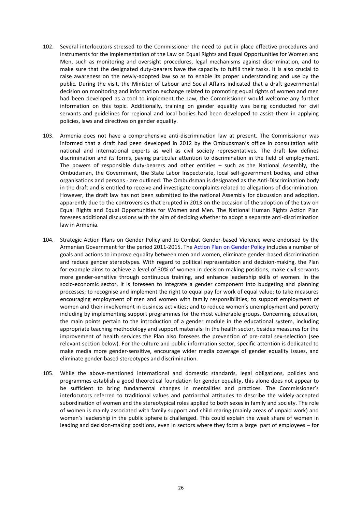- 102. Several interlocutors stressed to the Commissioner the need to put in place effective procedures and instruments for the implementation of the Law on Equal Rights and Equal Opportunities for Women and Men, such as monitoring and oversight procedures, legal mechanisms against discrimination, and to make sure that the designated duty-bearers have the capacity to fulfill their tasks. It is also crucial to raise awareness on the newly-adopted law so as to enable its proper understanding and use by the public. During the visit, the Minister of Labour and Social Affairs indicated that a draft governmental decision on monitoring and information exchange related to promoting equal rights of women and men had been developed as a tool to implement the Law; the Commissioner would welcome any further information on this topic. Additionally, training on gender equality was being conducted for civil servants and guidelines for regional and local bodies had been developed to assist them in applying policies, laws and directives on gender equality.
- 103. Armenia does not have a comprehensive anti-discrimination law at present. The Commissioner was informed that a draft had been developed in 2012 by the Ombudsman's office in consultation with national and international experts as well as civil society representatives. The draft law defines discrimination and its forms, paying particular attention to discrimination in the field of employment. The powers of responsible duty-bearers and other entities – such as the National Assembly, the Ombudsman, the Government, the State Labor Inspectorate, local self-government bodies, and other organisations and persons - are outlined. The Ombudsman is designated as the Anti-Discrimination body in the draft and is entitled to receive and investigate complaints related to allegations of discrimination. However, the draft law has not been submitted to the national Assembly for discussion and adoption, apparently due to the controversies that erupted in 2013 on the occasion of the adoption of the Law on Equal Rights and Equal Opportunities for Women and Men. The National Human Rights Action Plan foresees additional discussions with the aim of deciding whether to adopt a separate anti-discrimination law in Armenia.
- 104. Strategic Action Plans on Gender Policy and to Combat Gender-based Violence were endorsed by the Armenian Government for the period 2011-2015. The [Action Plan on Gender Policy](http://www.un.am/res/Gender%20TG%20docs/national/2011-2015_Gender%20Policy_NAP-Eng.pdf) includes a number of goals and actions to improve equality between men and women, eliminate gender-based discrimination and reduce gender stereotypes. With regard to political representation and decision-making, the Plan for example aims to achieve a level of 30% of women in decision-making positions, make civil servants more gender-sensitive through continuous training, and enhance leadership skills of women. In the socio-economic sector, it is foreseen to integrate a gender component into budgeting and planning processes; to recognise and implement the right to equal pay for work of equal value; to take measures encouraging employment of men and women with family responsibilities; to support employment of women and their involvement in business activities; and to reduce women's unemployment and poverty including by implementing support programmes for the most vulnerable groups. Concerning education, the main points pertain to the introduction of a gender module in the educational system, including appropriate teaching methodology and support materials. In the health sector, besides measures for the improvement of health services the Plan also foresees the prevention of pre-natal sex-selection (see relevant section below). For the culture and public information sector, specific attention is dedicated to make media more gender-sensitive, encourage wider media coverage of gender equality issues, and eliminate gender-based stereotypes and discrimination.
- 105. While the above-mentioned international and domestic standards, legal obligations, policies and programmes establish a good theoretical foundation for gender equality, this alone does not appear to be sufficient to bring fundamental changes in mentalities and practices. The Commissioner's interlocutors referred to traditional values and patriarchal attitudes to describe the widely-accepted subordination of women and the stereotypical roles applied to both sexes in family and society. The role of women is mainly associated with family support and child rearing (mainly areas of unpaid work) and women's leadership in the public sphere is challenged. This could explain the weak share of women in leading and decision-making positions, even in sectors where they form a large part of employees – for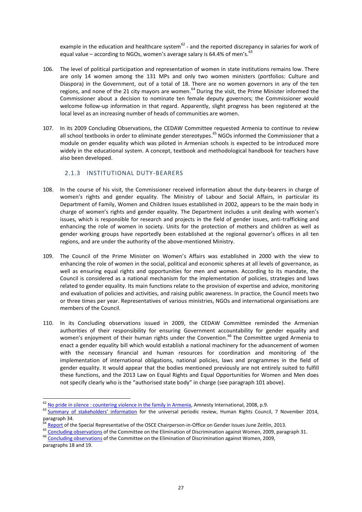example in the education and healthcare system $^{62}$  - and the reported discrepancy in salaries for work of equal value – according to NGOs, women's average salary is 64.4% of men's.<sup>63</sup>

- 106. The level of political participation and representation of women in state institutions remains low. There are only 14 women among the 131 MPs and only two women ministers (portfolios: Culture and Diaspora) in the Government, out of a total of 18. There are no women governors in any of the ten regions, and none of the 21 city mayors are women.<sup>64</sup> During the visit, the Prime Minister informed the Commissioner about a decision to nominate ten female deputy governors; the Commissioner would welcome follow-up information in that regard. Apparently, slight progress has been registered at the local level as an increasing number of heads of communities are women.
- 107. In its 2009 Concluding Observations, the CEDAW Committee requested Armenia to continue to review all school textbooks in order to eliminate gender stereotypes.<sup>65</sup> NGOs informed the Commissioner that a module on gender equality which was piloted in Armenian schools is expected to be introduced more widely in the educational system. A concept, textbook and methodological handbook for teachers have also been developed.

# 2.1.3 INSTITUTIONAL DUTY-BEARERS

- <span id="page-26-0"></span>108. In the course of his visit, the Commissioner received information about the duty-bearers in charge of women's rights and gender equality. The Ministry of Labour and Social Affairs, in particular its Department of Family, Women and Children Issues established in 2002, appears to be the main body in charge of women's rights and gender equality. The Department includes a unit dealing with women's issues, which is responsible for research and projects in the field of gender issues, anti-trafficking and enhancing the role of women in society. Units for the protection of mothers and children as well as gender working groups have reportedly been established at the regional governor's offices in all ten regions, and are under the authority of the above-mentioned Ministry.
- 109. The Council of the Prime Minister on Women's Affairs was established in 2000 with the view to enhancing the role of women in the social, political and economic spheres at all levels of governance, as well as ensuring equal rights and opportunities for men and women. According to its mandate, the Council is considered as a national mechanism for the implementation of policies, strategies and laws related to gender equality. Its main functions relate to the provision of expertise and advice, monitoring and evaluation of policies and activities, and raising public awareness. In practice, the Council meets two or three times per year. Representatives of various ministries, NGOs and international organisations are members of the Council.
- 110. In its Concluding observations issued in 2009, the CEDAW Committee reminded the Armenian authorities of their responsibility for ensuring Government accountability for gender equality and women's enjoyment of their human rights under the Convention.<sup>66</sup> The Committee urged Armenia to enact a gender equality bill which would establish a national machinery for the advancement of women with the necessary financial and human resources for coordination and monitoring of the implementation of international obligations, national policies, laws and programmes in the field of gender equality. It would appear that the bodies mentioned previously are not entirely suited to fulfill these functions, and the 2013 Law on Equal Rights and Equal Opportunities for Women and Men does not specify clearly who is the "authorised state body" in charge (see paragraph 101 above).

<sup>&</sup>lt;sup>62</sup> No pride in silence [: countering violence in the family in Armenia,](http://www.amnesty.org/en/library/asset/EUR54/004/2008/en/ec863cc6-a049-11dd-81c4-792550e655ec/eur540042008en.pdf) Amnesty International, 2008, p.9.

<sup>63</sup> [Summary of stakeholders' information](http://www.ohchr.org/EN/HRBodies/UPR/Pages/AMSession21.aspx) for the universal periodic review, Human Rights Council, 7 November 2014, paragraph 34.

<sup>64</sup> [Report](http://www.osce.org/cio/110334?download=true) of the Special Representative of the OSCE Chairperson-in-Office on Gender Issues June Zeitlin, 2013.

<sup>&</sup>lt;sup>65</sup> [Concluding observations](http://tbinternet.ohchr.org/_layouts/treatybodyexternal/Download.aspx?symbolno=CEDAW/C/ARM/CO/4/Rev.1&Lang=En) of the Committee on the Elimination of Discrimination against Women, 2009, paragraph 31.

<sup>&</sup>lt;sup>66</sup> [Concluding observations](http://tbinternet.ohchr.org/_layouts/treatybodyexternal/Download.aspx?symbolno=CEDAW/C/ARM/CO/4/Rev.1&Lang=En) of the Committee on the Elimination of Discrimination against Women, 2009,

paragraphs 18 and 19.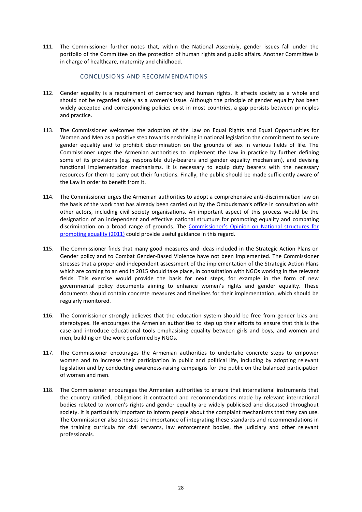<span id="page-27-0"></span>111. The Commissioner further notes that, within the National Assembly, gender issues fall under the portfolio of the Committee on the protection of human rights and public affairs. Another Committee is in charge of healthcare, maternity and childhood.

#### CONCLUSIONS AND RECOMMENDATIONS

- 112. Gender equality is a requirement of democracy and human rights. It affects society as a whole and should not be regarded solely as a women's issue. Although the principle of gender equality has been widely accepted and corresponding policies exist in most countries, a gap persists between principles and practice.
- 113. The Commissioner welcomes the adoption of the Law on Equal Rights and Equal Opportunities for Women and Men as a positive step towards enshrining in national legislation the commitment to secure gender equality and to prohibit discrimination on the grounds of sex in various fields of life. The Commissioner urges the Armenian authorities to implement the Law in practice by further defining some of its provisions (e.g. responsible duty-bearers and gender equality mechanism), and devising functional implementation mechanisms. It is necessary to equip duty bearers with the necessary resources for them to carry out their functions. Finally, the public should be made sufficiently aware of the Law in order to benefit from it.
- 114. The Commissioner urges the Armenian authorities to adopt a comprehensive anti-discrimination law on the basis of the work that has already been carried out by the Ombudsman's office in consultation with other actors, including civil society organisations. An important aspect of this process would be the designation of an independent and effective national structure for promoting equality and combating discrimination on a broad range of grounds. The [Commissioner's Opinion on National structures for](https://wcd.coe.int/ViewDoc.jsp?id=1761031&Site=COE&BackColorInternet=DBDCF2&BackColorIntranet=FDC864&BackColorLogged=FDC864)  [promoting equality \(2011\)](https://wcd.coe.int/ViewDoc.jsp?id=1761031&Site=COE&BackColorInternet=DBDCF2&BackColorIntranet=FDC864&BackColorLogged=FDC864) could provide useful guidance in this regard.
- 115. The Commissioner finds that many good measures and ideas included in the Strategic Action Plans on Gender policy and to Combat Gender-Based Violence have not been implemented. The Commissioner stresses that a proper and independent assessment of the implementation of the Strategic Action Plans which are coming to an end in 2015 should take place, in consultation with NGOs working in the relevant fields. This exercise would provide the basis for next steps, for example in the form of new governmental policy documents aiming to enhance women's rights and gender equality. These documents should contain concrete measures and timelines for their implementation, which should be regularly monitored.
- 116. The Commissioner strongly believes that the education system should be free from gender bias and stereotypes. He encourages the Armenian authorities to step up their efforts to ensure that this is the case and introduce educational tools emphasising equality between girls and boys, and women and men, building on the work performed by NGOs.
- 117. The Commissioner encourages the Armenian authorities to undertake concrete steps to empower women and to increase their participation in public and political life, including by adopting relevant legislation and by conducting awareness-raising campaigns for the public on the balanced participation of women and men.
- 118. The Commissioner encourages the Armenian authorities to ensure that international instruments that the country ratified, obligations it contracted and recommendations made by relevant international bodies related to women's rights and gender equality are widely publicised and discussed throughout society. It is particularly important to inform people about the complaint mechanisms that they can use. The Commissioner also stresses the importance of integrating these standards and recommendations in the training curricula for civil servants, law enforcement bodies, the judiciary and other relevant professionals.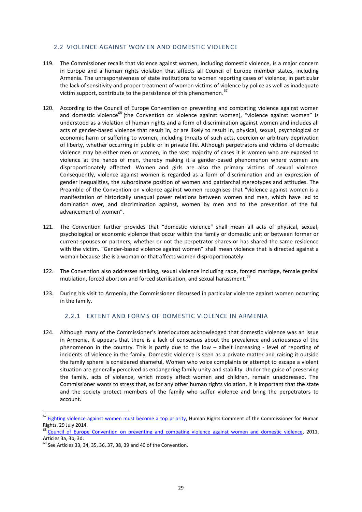## <span id="page-28-0"></span>2.2 VIOLENCE AGAINST WOMEN AND DOMESTIC VIOLENCE

- 119. The Commissioner recalls that violence against women, including domestic violence, is a major concern in Europe and a human rights violation that affects all Council of Europe member states, including Armenia. The unresponsiveness of state institutions to women reporting cases of violence, in particular the lack of sensitivity and proper treatment of women victims of violence by police as well as inadequate victim support, contribute to the persistence of this phenomenon.<sup>67</sup>
- 120. According to the Council of Europe Convention on preventing and combating violence against women and domestic violence<sup>68</sup> (the Convention on violence against women), "violence against women" is understood as a violation of human rights and a form of discrimination against women and includes all acts of gender-based violence that result in, or are likely to result in, physical, sexual, psychological or economic harm or suffering to women, including threats of such acts, coercion or arbitrary deprivation of liberty, whether occurring in public or in private life. Although perpetrators and victims of domestic violence may be either men or women, in the vast majority of cases it is women who are exposed to violence at the hands of men, thereby making it a gender-based phenomenon where women are disproportionately affected. Women and girls are also the primary victims of sexual violence. Consequently, violence against women is regarded as a form of discrimination and an expression of gender inequalities, the subordinate position of women and patriarchal stereotypes and attitudes. The Preamble of the Convention on violence against women recognises that "violence against women is a manifestation of historically unequal power relations between women and men, which have led to domination over, and discrimination against, women by men and to the prevention of the full advancement of women".
- 121. The Convention further provides that "domestic violence" shall mean all acts of physical, sexual, psychological or economic violence that occur within the family or domestic unit or between former or current spouses or partners, whether or not the perpetrator shares or has shared the same residence with the victim. "Gender-based violence against women" shall mean violence that is directed against a woman because she is a woman or that affects women disproportionately.
- 122. The Convention also addresses stalking, sexual violence including rape, forced marriage, female genital mutilation, forced abortion and forced sterilisation, and sexual harassment.<sup>69</sup>
- <span id="page-28-1"></span>123. During his visit to Armenia, the Commissioner discussed in particular violence against women occurring in the family.

### 2.2.1 EXTENT AND FORMS OF DOMESTIC VIOLENCE IN ARMENIA

124. Although many of the Commissioner's interlocutors acknowledged that domestic violence was an issue in Armenia, it appears that there is a lack of consensus about the prevalence and seriousness of the phenomenon in the country. This is partly due to the low – albeit increasing - level of reporting of incidents of violence in the family. Domestic violence is seen as a private matter and raising it outside the family sphere is considered shameful. Women who voice complaints or attempt to escape a violent situation are generally perceived as endangering family unity and stability. Under the guise of preserving the family, acts of violence, which mostly affect women and children, remain unaddressed. The Commissioner wants to stress that, as for any other human rights violation, it is important that the state and the society protect members of the family who suffer violence and bring the perpetrators to account.

<sup>&</sup>lt;sup>67</sup> [Fighting violence against women must become a](http://www.coe.int/en/web/commissioner/-/fighting-violence-against-women-must-become-a-top-priority) top priority, Human Rights Comment of the Commissioner for Human Rights, 29 July 2014.

<sup>&</sup>lt;sup>68</sup> Council of Europe Convention on preventing and [combating violence against women and domestic violence,](http://www.coe.int/t/dghl/standardsetting/convention-violence/convention/Convention%20210%20English.pdf) 2011, Articles 3a, 3b, 3d.

 $69$  See Articles 33, 34, 35, 36, 37, 38, 39 and 40 of the Convention.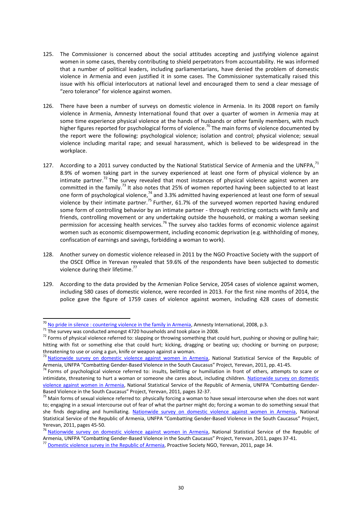- 125. The Commissioner is concerned about the social attitudes accepting and justifying violence against women in some cases, thereby contributing to shield perpetrators from accountability. He was informed that a number of political leaders, including parliamentarians, have denied the problem of domestic violence in Armenia and even justified it in some cases. The Commissioner systematically raised this issue with his official interlocutors at national level and encouraged them to send a clear message of "zero tolerance" for violence against women.
- 126. There have been a number of surveys on domestic violence in Armenia. In its 2008 report on family violence in Armenia, Amnesty International found that over a quarter of women in Armenia may at some time experience physical violence at the hands of husbands or other family members, with much higher figures reported for psychological forms of violence.<sup>70</sup> The main forms of violence documented by the report were the following: psychological violence; isolation and control; physical violence; sexual violence including marital rape; and sexual harassment, which is believed to be widespread in the workplace.
- 127. According to a 2011 survey conducted by the National Statistical Service of Armenia and the UNFPA,  $^{71}$ 8.9% of women taking part in the survey experienced at least one form of physical violence by an intimate partner.<sup>72</sup> The survey revealed that most instances of physical violence against women are committed in the family.<sup>73</sup> It also notes that 25% of women reported having been subjected to at least one form of psychological violence,<sup>74</sup> and 3.3% admitted having experienced at least one form of sexual violence by their intimate partner.<sup>75</sup> Further, 61.7% of the surveyed women reported having endured some form of controlling behavior by an intimate partner - through restricting contacts with family and friends, controlling movement or any undertaking outside the household, or making a woman seeking permission for accessing health services.<sup>76</sup> The survey also tackles forms of economic violence against women such as economic disempowerment, including economic deprivation (e.g. withholding of money, confiscation of earnings and savings, forbidding a woman to work).
- 128. Another survey on domestic violence released in 2011 by the NGO Proactive Society with the support of the OSCE Office in Yerevan revealed that 59.6% of the respondents have been subjected to domestic violence during their lifetime.<sup>77</sup>
- 129. According to the data provided by the Armenian Police Service, 2054 cases of violence against women, including 580 cases of domestic violence, were recorded in 2013. For the first nine months of 2014, the police gave the figure of 1759 cases of violence against women, including 428 cases of domestic

 $\overline{a}$ <sup>70</sup> No pride in silence [: countering violence in the family in Armenia,](http://www.amnesty.org/en/library/asset/EUR54/004/2008/en/ec863cc6-a049-11dd-81c4-792550e655ec/eur540042008en.pdf) Amnesty International, 2008, p.3.

<sup>&</sup>lt;sup>71</sup> The survey was conducted amongst 4720 households and took place in 2008.

<sup>&</sup>lt;sup>72</sup> Forms of physical violence referred to: slapping or throwing something that could hurt, pushing or shoving or pulling hair; hitting with fist or something else that could hurt; kicking, dragging or beating up; chocking or burning on purpose; threatening to use or using a gun, knife or weapon against a woman.

<sup>&</sup>lt;sup>73</sup> [Nationwide survey on domestic violence against women in Armenia,](http://unfpa.am/sites/default/files/DV_survey_eng.pdf) National Statistical Service of the Republic of Armenia, UNFPA "Combatting Gender-Based Violence in the South Caucasus" Project, Yerevan, 2011, pp. 41-45.

<sup>&</sup>lt;sup>74</sup> Forms of psychological violence referred to: insults, belittling or humiliation in front of others, attempts to scare or intimidate, threatening to hurt a woman or someone she cares about, including children. [Nationwide survey on domestic](http://unfpa.am/sites/default/files/DV_survey_eng.pdf)  [violence against women in Armenia](http://unfpa.am/sites/default/files/DV_survey_eng.pdf), National Statistical Service of the Republic of Armenia, UNFPA "Combatting Gender-Based Violence in the South Caucasus" Project, Yerevan, 2011, pages 32-37.

<sup>&</sup>lt;sup>75</sup> Main forms of sexual violence referred to: physically forcing a woman to have sexual intercourse when she does not want to; engaging in a sexual intercourse out of fear of what the partner might do; forcing a woman to do something sexual that she finds degrading and humiliating. [Nationwide survey on domestic violence against women in Armenia,](http://unfpa.am/sites/default/files/DV_survey_eng.pdf) National Statistical Service of the Republic of Armenia, UNFPA "Combatting Gender-Based Violence in the South Caucasus" Project, Yerevan, 2011, pages 45-50.

<sup>&</sup>lt;sup>76</sup> [Nationwide survey on domestic violence against women in Armenia,](http://unfpa.am/sites/default/files/DV_survey_eng.pdf) National Statistical Service of the Republic of Armenia, UNFPA "Combatting Gender-Based Violence in the South Caucasus" Project, Yerevan, 2011, pages 37-41.

[Domestic violence survey in the Republic of Armenia,](http://www.osce.org/yerevan/88229?download=true) Proactive Society NGO, Yerevan, 2011, page 34.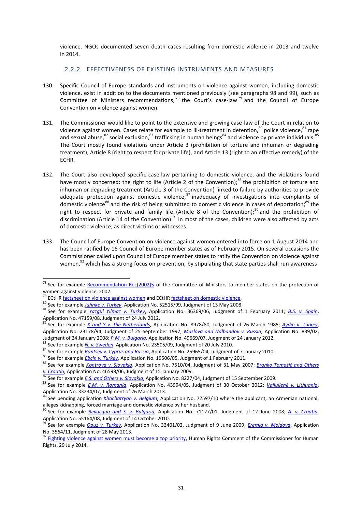<span id="page-30-0"></span>violence. NGOs documented seven death cases resulting from domestic violence in 2013 and twelve in 2014.

#### 2.2.2 EFFECTIVENESS OF EXISTING INSTRUMENTS AND MEASURES

- 130. Specific Council of Europe standards and instruments on violence against women, including domestic violence, exist in addition to the documents mentioned previously (see paragraphs 98 and 99), such as Committee of Ministers recommendations,<sup>78</sup> the Court's case-law<sup>79</sup> and the Council of Europe Convention on violence against women.
- 131. The Commissioner would like to point to the extensive and growing case-law of the Court in relation to violence against women. Cases relate for example to ill-treatment in detention,<sup>80</sup> police violence,<sup>81</sup> rape and sexual abuse,<sup>82</sup> social exclusion,<sup>83</sup> trafficking in human beings<sup>84</sup> and violence by private individuals.<sup>85</sup> The Court mostly found violations under Article 3 (prohibition of torture and inhuman or degrading treatment), Article 8 (right to respect for private life), and Article 13 (right to an effective remedy) of the ECHR.
- 132. The Court also developed specific case-law pertaining to domestic violence, and the violations found have mostly concerned: the right to life (Article 2 of the Convention);<sup>86</sup> the prohibition of torture and inhuman or degrading treatment (Article 3 of the Convention) linked to failure by authorities to provide adequate protection against domestic violence, <sup>87</sup> inadequacy of investigations into complaints of domestic violence<sup>88</sup> and the risk of being submitted to domestic violence in cases of deportation;<sup>89</sup> the right to respect for private and family life (Article 8 of the Convention);<sup>90</sup> and the prohibition of discrimination (Article 14 of the Convention).<sup>91</sup> In most of the cases, children were also affected by acts of domestic violence, as direct victims or witnesses.
- 133. The Council of Europe Convention on violence against women entered into force on 1 August 2014 and has been ratified by 16 Council of Europe member states as of February 2015. On several occasions the Commissioner called upon Council of Europe member states to ratify the Convention on violence against women,<sup>92</sup> which has a strong focus on prevention, by stipulating that state parties shall run awareness-

 $\overline{a}$ 

<sup>84</sup> See for example *[Rantsev v. Cyprus and Russia](http://hudoc.echr.coe.int/sites/eng/pages/search.aspx#{"dmdocnumber":["860538"],"itemid":["001-96549"]})*, Application No. 25965/04, Judgment of 7 January 2010.

<sup>&</sup>lt;sup>78</sup> See for example <u>Recommendation Rec(2002)5</u> of the Committee of Ministers to member states on the protection of women against violence, 2002.

<sup>&</sup>lt;sup>79</sup> ECtH[R factsheet on violence against women](http://www.echr.coe.int/Documents/FS_Violence_Woman_ENG.pdf) and ECtHR factsheet on domestic violence.

<sup>80</sup> See for example *[Juhnke v. Turkey](http://hudoc.echr.coe.int/sites/eng/pages/search.aspx#{"appno":["52515/99"],"itemid":["001-86255"]})*, Application No. 52515/99, Judgment of 13 May 2008.

<sup>81</sup> See for example *[Yazgül Yılmaz v. Turkey](http://hudoc.echr.coe.int/sites/eng/pages/search.aspx#{"dmdocnumber":["880762"],"itemid":["001-103157"]})*, Application No. 36369/06, Judgment of 1 February 2011; *[B.S. v. Spain](http://hudoc.echr.coe.int/sites/eng/pages/search.aspx?i=001-112459#{"itemid":["001-112459"]})*, Application No. 47159/08, Judgment of 24 July 2012.

<sup>82</sup> See for example *[X and Y v. the Netherlands](http://hudoc.echr.coe.int/sites/eng/pages/search.aspx?i=001-57603#{"itemid":["001-57603"]})*, Application No. 8978/80, Judgment of 26 March 1985; *[Aydın v. Turkey](http://hudoc.echr.coe.int/sites/eng/pages/search.aspx#{"appno":["23178/94"],"itemid":["001-58371"]})*, Application No. 23178/94, Judgment of 25 September 1997; *[Maslova and Nalbandov v. Russia](http://hudoc.echr.coe.int/sites/eng/pages/search.aspx#{"appno":["839/02"],"itemid":["001-84670"]})*, Application No. 839/02, Judgment of 24 January 2008; *[P.M. v. Bulgaria](http://hudoc.echr.coe.int/sites/eng/pages/search.aspx#{"dmdocnumber":["899269"],"itemid":["001-108781"]})*, Application No. 49669/07, Judgment of 24 January 2012.

<sup>83</sup> See for example *[N. v. Sweden](http://hudoc.echr.coe.int/sites/eng/pages/search.aspx#{"appno":["23505/09"],"itemid":["001-99992"]})*, Application No. 23505/09, Judgment of 20 July 2010.

<sup>85</sup> See for example *[Ebcin v. Turkey](http://hudoc.echr.coe.int/sites/eng/pages/search.aspx#{"dmdocnumber":["880749"],"itemid":["001-103143"]})*, Application No. 19506/05, Judgment of 1 February 2011.

<sup>86</sup> See for example *[Kontrova v. Slovakia](http://hudoc.echr.coe.int/sites/eng/pages/search.aspx#{"appno":["7510/04"],"itemid":["001-80696"]})*, Application No. 7510/04, Judgment of 31 May 2007; *[Branko Tomašić and Others](http://hudoc.echr.coe.int/sites/eng/pages/search.aspx#{"appno":["46598/06"],"itemid":["001-90625"]})  [v. Croatia](http://hudoc.echr.coe.int/sites/eng/pages/search.aspx#{"appno":["46598/06"],"itemid":["001-90625"]})*, Application No. 46598/06, Judgment of 15 January 2009.

<sup>87</sup> See for example *[E.S. and Others v. Slovakia](http://hudoc.echr.coe.int/sites/eng/pages/search.aspx#{"appno":["8227/04"],"itemid":["001-93955"]})*, Application No. 8227/04, Judgment of 15 September 2009.

<sup>88</sup> See for example *[E.M. v. Romania](http://hudoc.echr.coe.int/sites/eng/pages/search.aspx#{"itemid":["001-114091"]})*, Application No. 43994/05, Judgment of 30 October 2012; *[Valiulienė v. Lithuania](http://hudoc.echr.coe.int/sites/eng/pages/search.aspx?i=001-117636#{"itemid":["001-117636"]})*, Application No. 33234/07, Judgment of 26 March 2013.

<sup>&</sup>lt;sup>89</sup> See pending application *[Khachatryan v. Belgium](http://hudoc.echr.coe.int/sites/eng/Pages/search.aspx#{"fulltext":["Khachatryan"],"sort":["respondent Ascending"],"documentcollectionid2":["COMMUNICATEDCASES"],"itemid":["001-118103"]}),* Application No. 72597/10 where the applicant, an Armenian national, alleges kidnapping, forced marriage and domestic violence by her husband.

<sup>90</sup> See for example *[Bevacqua and S. v. Bulgaria](http://hudoc.echr.coe.int/sites/eng/pages/search.aspx?i=001-86875#{"itemid":["001-86875"]})*, Application No. 71127/01, Judgment of 12 June 2008; *[A. v. Croatia](http://hudoc.echr.coe.int/sites/eng/pages/search.aspx#{"dmdocnumber":["875647"],"itemid":["001-101152"]})*, Application No. 55164/08, Judgment of 14 October 2010.

<sup>91</sup> See for example *[Opuz v. Turkey](http://hudoc.echr.coe.int/sites/eng/pages/search.aspx#{"appno":["33401/02"],"itemid":["001-92945"]})*, Application No. 33401/02, Judgment of 9 June 2009; *[Eremia v. Moldova](http://hudoc.echr.coe.int/sites/eng/pages/search.aspx?i=001-119968#{%22itemid%22:[%22001-119968%22]})*, Application No. 3564/11, Judgment of 28 May 2013.

<sup>92</sup> [Fighting violence against women must become a top priority,](http://www.coe.int/en/web/commissioner/-/fighting-violence-against-women-must-become-a-top-priority) Human Rights Comment of the Commissioner for Human Rights, 29 July 2014.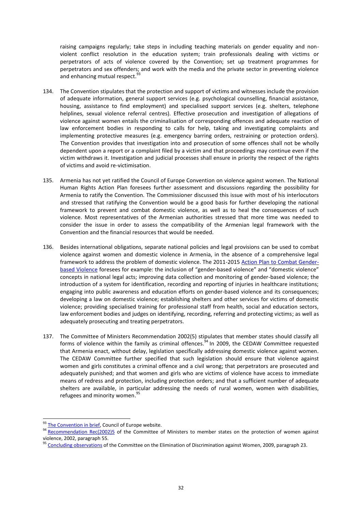raising campaigns regularly; take steps in including teaching materials on gender equality and nonviolent conflict resolution in the education system; train professionals dealing with victims or perpetrators of acts of violence covered by the Convention; set up treatment programmes for perpetrators and sex offenders; and work with the media and the private sector in preventing violence and enhancing mutual respect.<sup>93</sup>

- 134. The Convention stipulates that the protection and support of victims and witnesses include the provision of adequate information, general support services (e.g. psychological counselling, financial assistance, housing, assistance to find employment) and specialised support services (e.g. shelters, telephone helplines, sexual violence referral centres). Effective prosecution and investigation of allegations of violence against women entails the criminalisation of corresponding offences and adequate reaction of law enforcement bodies in responding to calls for help, taking and investigating complaints and implementing protective measures (e.g. emergency barring orders, restraining or protection orders). The Convention provides that investigation into and prosecution of some offences shall not be wholly dependent upon a report or a complaint filed by a victim and that proceedings may continue even if the victim withdraws it. Investigation and judicial processes shall ensure in priority the respect of the rights of victims and avoid re-victimisation.
- 135. Armenia has not yet ratified the Council of Europe Convention on violence against women. The National Human Rights Action Plan foresees further assessment and discussions regarding the possibility for Armenia to ratify the Convention. The Commissioner discussed this issue with most of his interlocutors and stressed that ratifying the Convention would be a good basis for further developing the national framework to prevent and combat domestic violence, as well as to heal the consequences of such violence. Most representatives of the Armenian authorities stressed that more time was needed to consider the issue in order to assess the compatibility of the Armenian legal framework with the Convention and the financial resources that would be needed.
- 136. Besides international obligations, separate national policies and legal provisions can be used to combat violence against women and domestic violence in Armenia, in the absence of a comprehensive legal framework to address the problem of domestic violence. The 2011-2015 [Action Plan to Combat Gender](http://www.un.am/res/Gender%20TG%20docs/national/2011-2015_GBV_strategic_plan-Eng.pdf)[based Violence](http://www.un.am/res/Gender%20TG%20docs/national/2011-2015_GBV_strategic_plan-Eng.pdf) foresees for example: the inclusion of "gender-based violence" and "domestic violence" concepts in national legal acts; improving data collection and monitoring of gender-based violence; the introduction of a system for identification, recording and reporting of injuries in healthcare institutions; engaging into public awareness and education efforts on gender-based violence and its consequences; developing a law on domestic violence; establishing shelters and other services for victims of domestic violence; providing specialised training for professional staff from health, social and education sectors, law enforcement bodies and judges on identifying, recording, referring and protecting victims; as well as adequately prosecuting and treating perpetrators.
- 137. The Committee of Ministers Recommendation 2002(5) stipulates that member states should classify all forms of violence within the family as criminal offences.<sup>94</sup> In 2009, the CEDAW Committee requested that Armenia enact, without delay, legislation specifically addressing domestic violence against women. The CEDAW Committee further specified that such legislation should ensure that violence against women and girls constitutes a criminal offence and a civil wrong; that perpetrators are prosecuted and adequately punished; and that women and girls who are victims of violence have access to immediate means of redress and protection, including protection orders; and that a sufficient number of adequate shelters are available, in particular addressing the needs of rural women, women with disabilities, refugees and minority women.<sup>95</sup>

 $\overline{a}$ <sup>93</sup> [The Convention in brief,](http://www.coe.int/t/dghl/standardsetting/convention-violence/brief_en.asp) Council of Europe website.

<sup>94</sup> [Recommendation Rec\(2002\)5](https://wcd.coe.int/ViewDoc.jsp?id=280915) of the Committee of Ministers to member states on the protection of women against violence, 2002, paragraph 55.

<sup>95</sup> [Concluding observations](http://tbinternet.ohchr.org/_layouts/treatybodyexternal/Download.aspx?symbolno=CEDAW/C/ARM/CO/4/Rev.1&Lang=En) of the Committee on the Elimination of Discrimination against Women, 2009, paragraph 23.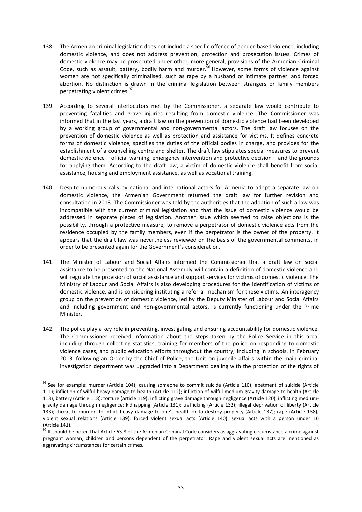- 138. The Armenian criminal legislation does not include a specific offence of gender-based violence, including domestic violence, and does not address prevention, protection and prosecution issues. Crimes of domestic violence may be prosecuted under other, more general, provisions of the Armenian Criminal Code, such as assault, battery, bodily harm and murder.<sup>96</sup> However, some forms of violence against women are not specifically criminalised, such as rape by a husband or intimate partner, and forced abortion. No distinction is drawn in the criminal legislation between strangers or family members perpetrating violent crimes.<sup>97</sup>
- 139. According to several interlocutors met by the Commissioner, a separate law would contribute to preventing fatalities and grave injuries resulting from domestic violence. The Commissioner was informed that in the last years, a draft law on the prevention of domestic violence had been developed by a working group of governmental and non-governmental actors. The draft law focuses on the prevention of domestic violence as well as protection and assistance for victims. It defines concrete forms of domestic violence, specifies the duties of the official bodies in charge, and provides for the establishment of a counselling centre and shelter. The draft law stipulates special measures to prevent domestic violence – official warning, emergency intervention and protective decision – and the grounds for applying them. According to the draft law, a victim of domestic violence shall benefit from social assistance, housing and employment assistance, as well as vocational training.
- 140. Despite numerous calls by national and international actors for Armenia to adopt a separate law on domestic violence, the Armenian Government returned the draft law for further revision and consultation in 2013. The Commissioner was told by the authorities that the adoption of such a law was incompatible with the current criminal legislation and that the issue of domestic violence would be addressed in separate pieces of legislation. Another issue which seemed to raise objections is the possibility, through a protective measure, to remove a perpetrator of domestic violence acts from the residence occupied by the family members, even if the perpetrator is the owner of the property. It appears that the draft law was nevertheless reviewed on the basis of the governmental comments, in order to be presented again for the Government's consideration.
- 141. The Minister of Labour and Social Affairs informed the Commissioner that a draft law on social assistance to be presented to the National Assembly will contain a definition of domestic violence and will regulate the provision of social assistance and support services for victims of domestic violence. The Ministry of Labour and Social Affairs is also developing procedures for the identification of victims of domestic violence, and is considering instituting a referral mechanism for these victims. An interagency group on the prevention of domestic violence, led by the Deputy Minister of Labour and Social Affairs and including government and non-governmental actors, is currently functioning under the Prime Minister.
- 142. The police play a key role in preventing, investigating and ensuring accountability for domestic violence. The Commissioner received information about the steps taken by the Police Service in this area, including through collecting statistics, training for members of the police on responding to domestic violence cases, and public education efforts throughout the country, including in schools. In February 2013, following an Order by the Chief of Police, the Unit on juvenile affairs within the main criminal investigation department was upgraded into a Department dealing with the protection of the rights of

<sup>&</sup>lt;sup>96</sup> See for example: murder (Article 104); causing someone to commit suicide (Article 110); abetment of suicide (Article 111); infliction of wilful heavy damage to health (Article 112); infliction of wilful medium-gravity damage to health (Article 113); battery (Article 118); torture (article 119); inflicting grave damage through negligence (Article 120); inflicting mediumgravity damage through negligence; kidnapping (Article 131); trafficking (Article 132); illegal deprivation of liberty (Article 133); threat to murder, to inflict heavy damage to one's health or to destroy property (Article 137); rape (Article 138); violent sexual relations (Article 139); forced violent sexual acts (Article 140); sexual acts with a person under 16 (Article 141).

<sup>&</sup>lt;sup>97</sup> It should be noted that Article 63.8 of the Armenian Criminal Code considers as aggravating circumstance a crime against pregnant woman, children and persons dependent of the perpetrator. Rape and violent sexual acts are mentioned as aggravating circumstances for certain crimes.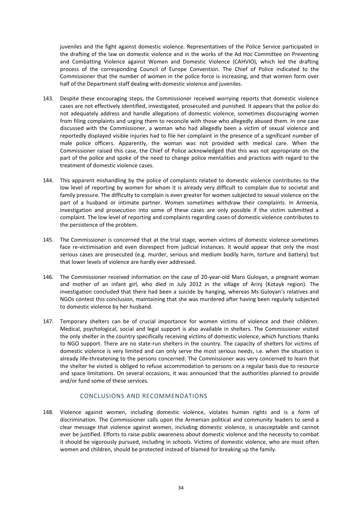juveniles and the fight against domestic violence. Representatives of the Police Service participated in the drafting of the law on domestic violence and in the works of the Ad Hoc Committee on Preventing and Combatting Violence against Women and Domestic Violence (CAHVIO), which led the drafting process of the corresponding Council of Europe Convention. The Chief of Police indicated to the Commissioner that the number of women in the police force is increasing, and that women form over half of the Department staff dealing with domestic violence and juveniles.

- 143. Despite these encouraging steps, the Commissioner received worrying reports that domestic violence cases are not effectively identified, investigated, prosecuted and punished. It appears that the police do not adequately address and handle allegations of domestic violence, sometimes discouraging women from filing complaints and urging them to reconcile with those who allegedly abused them. In one case discussed with the Commissioner, a woman who had allegedly been a victim of sexual violence and reportedly displayed visible injuries had to file her complaint in the presence of a significant number of male police officers. Apparently, the woman was not provided with medical care. When the Commissioner raised this case, the Chief of Police acknowledged that this was not appropriate on the part of the police and spoke of the need to change police mentalities and practices with regard to the treatment of domestic violence cases.
- 144. This apparent mishandling by the police of complaints related to domestic violence contributes to the low level of reporting by women for whom it is already very difficult to complain due to societal and family pressure. The difficulty to complain is even greater for women subjected to sexual violence on the part of a husband or intimate partner. Women sometimes withdraw their complaints. In Armenia, investigation and prosecution into some of these cases are only possible if the victim submitted a complaint. The low level of reporting and complaints regarding cases of domestic violence contributes to the persistence of the problem.
- 145. The Commissioner is concerned that at the trial stage, women victims of domestic violence sometimes face re-victimisation and even disrespect from judicial instances. It would appear that only the most serious cases are prosecuted (e.g. murder, serious and medium bodily harm, torture and battery) but that lower levels of violence are hardly ever addressed.
- 146. The Commissioner received information on the case of 20-year-old Maro Guloyan, a pregnant woman and mother of an infant girl, who died in July 2012 in the village of Arinj (Kotayk region). The investigation concluded that there had been a suicide by hanging, whereas Ms Guloyan's relatives and NGOs contest this conclusion, maintaining that she was murdered after having been regularly subjected to domestic violence by her husband.
- 147. Temporary shelters can be of crucial importance for women victims of violence and their children. Medical, psychological, social and legal support is also available in shelters. The Commissioner visited the only shelter in the country specifically receiving victims of domestic violence, which functions thanks to NGO support. There are no state-run shelters in the country. The capacity of shelters for victims of domestic violence is very limited and can only serve the most serious needs, i.e. when the situation is already life-threatening to the persons concerned. The Commissioner was very concerned to learn that the shelter he visited is obliged to refuse accommodation to persons on a regular basis due to resource and space limitations. On several occasions, it was announced that the authorities planned to provide and/or fund some of these services.

#### CONCLUSIONS AND RECOMMENDATIONS

<span id="page-33-0"></span>148. Violence against women, including domestic violence, violates human rights and is a form of discrimination. The Commissioner calls upon the Armenian political and community leaders to send a clear message that violence against women, including domestic violence, is unacceptable and cannot ever be justified. Efforts to raise public awareness about domestic violence and the necessity to combat it should be vigorously pursued, including in schools. Victims of domestic violence, who are most often women and children, should be protected instead of blamed for breaking up the family.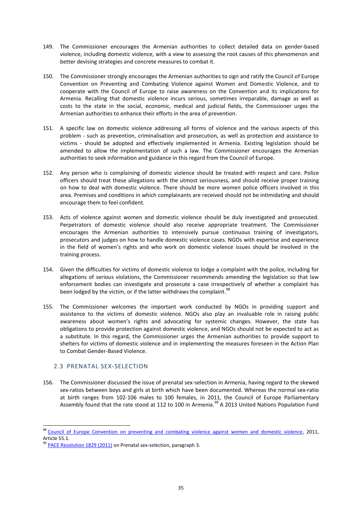- 149. The Commissioner encourages the Armenian authorities to collect detailed data on gender-based violence, including domestic violence, with a view to assessing the root causes of this phenomenon and better devising strategies and concrete measures to combat it.
- 150. The Commissioner strongly encourages the Armenian authorities to sign and ratify the Council of Europe Convention on Preventing and Combating Violence against Women and Domestic Violence, and to cooperate with the Council of Europe to raise awareness on the Convention and its implications for Armenia. Recalling that domestic violence incurs serious, sometimes irreparable, damage as well as costs to the state in the social, economic, medical and judicial fields, the Commissioner urges the Armenian authorities to enhance their efforts in the area of prevention.
- 151. A specific law on domestic violence addressing all forms of violence and the various aspects of this problem - such as prevention, criminalisation and prosecution, as well as protection and assistance to victims - should be adopted and effectively implemented in Armenia. Existing legislation should be amended to allow the implementation of such a law. The Commissioner encourages the Armenian authorities to seek information and guidance in this regard from the Council of Europe.
- 152. Any person who is complaining of domestic violence should be treated with respect and care. Police officers should treat these allegations with the utmost seriousness, and should receive proper training on how to deal with domestic violence. There should be more women police officers involved in this area. Premises and conditions in which complainants are received should not be intimidating and should encourage them to feel confident.
- 153. Acts of violence against women and domestic violence should be duly investigated and prosecuted. Perpetrators of domestic violence should also receive appropriate treatment. The Commissioner encourages the Armenian authorities to intensively pursue continuous training of investigators, prosecutors and judges on how to handle domestic violence cases. NGOs with expertise and experience in the field of women's rights and who work on domestic violence issues should be involved in the training process.
- 154. Given the difficulties for victims of domestic violence to lodge a complaint with the police, including for allegations of serious violations, the Commissioner recommends amending the legislation so that law enforcement bodies can investigate and prosecute a case irrespectively of whether a complaint has been lodged by the victim, or if the latter withdraws the complaint.<sup>98</sup>
- 155. The Commissioner welcomes the important work conducted by NGOs in providing support and assistance to the victims of domestic violence. NGOs also play an invaluable role in raising public awareness about women's rights and advocating for systemic changes. However, the state has obligations to provide protection against domestic violence, and NGOs should not be expected to act as a substitute. In this regard, the Commissioner urges the Armenian authorities to provide support to shelters for victims of domestic violence and in implementing the measures foreseen in the Action Plan to Combat Gender-Based Violence.

### <span id="page-34-0"></span>2.3 PRENATAL SEX-SELECTION

 $\overline{a}$ 

156. The Commissioner discussed the issue of prenatal sex-selection in Armenia, having regard to the skewed sex-ratios between boys and girls at birth which have been documented. Whereas the normal sex-ratio at birth ranges from 102-106 males to 100 females, in 2011, the Council of Europe Parliamentary Assembly found that the rate stood at 112 to 100 in Armenia.<sup>99</sup> A 2013 United Nations Population Fund

<sup>98</sup> [Council of Europe Convention on preventing and combating violence against women and domestic violence,](http://www.coe.int/t/dghl/standardsetting/convention-violence/convention/Convention%20210%20English.pdf) 2011, Article 55.1.

[PACE Resolution 1829 \(2011\)](http://assembly.coe.int/Mainf.asp?link=/Documents/AdoptedText/ta11/ERES1829.htm) on Prenatal sex-selection, paragraph 3.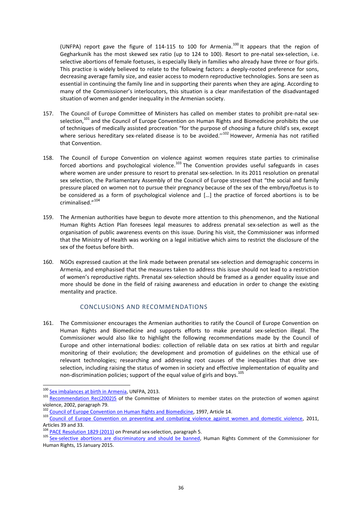(UNFPA) report gave the figure of 114-115 to 100 for Armenia.<sup>100</sup> It appears that the region of Gegharkunik has the most skewed sex ratio (up to 124 to 100). Resort to pre-natal sex-selection, i.e. selective abortions of female foetuses, is especially likely in families who already have three or four girls. This practice is widely believed to relate to the following factors: a deeply-rooted preference for sons, decreasing average family size, and easier access to modern reproductive technologies. Sons are seen as essential in continuing the family line and in supporting their parents when they are aging. According to many of the Commissioner's interlocutors, this situation is a clear manifestation of the disadvantaged situation of women and gender inequality in the Armenian society.

- 157. The Council of Europe Committee of Ministers has called on member states to prohibit pre-natal sexselection,<sup>101</sup> and the Council of Europe Convention on Human Rights and Biomedicine prohibits the use of techniques of medically assisted procreation "for the purpose of choosing a future child's sex, except where serious hereditary sex-related disease is to be avoided."<sup>102</sup> However, Armenia has not ratified that Convention.
- 158. The Council of Europe Convention on violence against women requires state parties to criminalise forced abortions and psychological violence.<sup>103</sup> The Convention provides useful safeguards in cases where women are under pressure to resort to prenatal sex-selection. In its 2011 resolution on prenatal sex selection, the Parliamentary Assembly of the Council of Europe stressed that "the social and family pressure placed on women not to pursue their pregnancy because of the sex of the embryo/foetus is to be considered as a form of psychological violence and […] the practice of forced abortions is to be criminalised."<sup>104</sup>
- 159. The Armenian authorities have begun to devote more attention to this phenomenon, and the National Human Rights Action Plan foresees legal measures to address prenatal sex-selection as well as the organisation of public awareness events on this issue. During his visit, the Commissioner was informed that the Ministry of Health was working on a legal initiative which aims to restrict the disclosure of the sex of the foetus before birth.
- 160. NGOs expressed caution at the link made between prenatal sex-selection and demographic concerns in Armenia, and emphasised that the measures taken to address this issue should not lead to a restriction of women's reproductive rights. Prenatal sex-selection should be framed as a gender equality issue and more should be done in the field of raising awareness and education in order to change the existing mentality and practice.

### CONCLUSIONS AND RECOMMENDATIONS

<span id="page-35-0"></span>161. The Commissioner encourages the Armenian authorities to ratify the Council of Europe Convention on Human Rights and Biomedicine and supports efforts to make prenatal sex-selection illegal. The Commissioner would also like to highlight the following recommendations made by the Council of Europe and other international bodies: collection of reliable data on sex ratios at birth and regular monitoring of their evolution; the development and promotion of guidelines on the ethical use of relevant technologies; researching and addressing root causes of the inequalities that drive sexselection, including raising the status of women in society and effective implementation of equality and non-discrimination policies; support of the equal value of girls and boys.<sup>105</sup>

<sup>&</sup>lt;sup>100</sup> <u>Sex imbalances at birth in Armenia</u>, UNFPA, 2013.

<sup>101</sup> [Recommendation Rec\(2002\)5](https://wcd.coe.int/ViewDoc.jsp?id=280915) of the Committee of Ministers to member states on the protection of women against violence, 2002, paragraph 79.

<sup>102</sup> [Council of Europe Convention on Human Rights and Biomedicine,](http://conventions.coe.int/Treaty/en/Treaties/Html/164.htm) 1997, Article 14.

<sup>103</sup> [Council of Europe Convention on preventing and combating violence against women and domestic violence,](http://www.coe.int/t/dghl/standardsetting/convention-violence/convention/Convention%20210%20English.pdf) 2011, Articles 39 and 33.

<sup>&</sup>lt;sup>104</sup> [PACE Resolution 1829 \(2011\)](http://assembly.coe.int/Mainf.asp?link=/Documents/AdoptedText/ta11/ERES1829.htm) on Prenatal sex-selection, paragraph 5.

<sup>105</sup> [Sex-selective abortions are discriminatory and should be banned,](http://www.coe.int/en/web/commissioner/-/sex-selective-abortions-are-discriminatory-and-should-be-bann-1) Human Rights Comment of the Commissioner for Human Rights, 15 January 2015.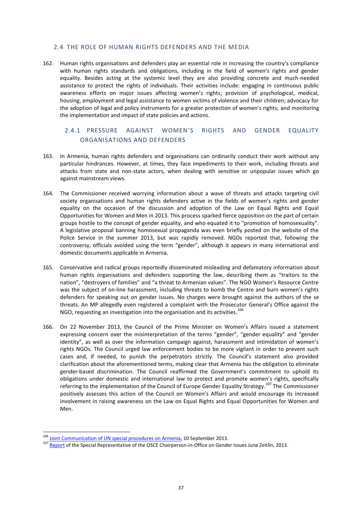#### <span id="page-36-0"></span>2.4 THE ROLE OF HUMAN RIGHTS DEFENDERS AND THE MEDIA

162. Human rights organisations and defenders play an essential role in increasing the country's compliance with human rights standards and obligations, including in the field of women's rights and gender equality. Besides acting at the systemic level they are also providing concrete and much-needed assistance to protect the rights of individuals. Their activities include: engaging in continuous public awareness efforts on major issues affecting women's rights; provision of psychological, medical, housing, employment and legal assistance to women victims of violence and their children; advocacy for the adoption of legal and policy instruments for a greater protection of women's rights; and monitoring the implementation and impact of state policies and actions.

# <span id="page-36-1"></span>2.4.1 PRESSURE AGAINST WOMEN'S RIGHTS AND GENDER EQUALITY ORGANISATIONS AND DEFENDERS

- 163. In Armenia, human rights defenders and organisations can ordinarily conduct their work without any particular hindrances. However, at times, they face impediments to their work, including threats and attacks from state and non-state actors, when dealing with sensitive or unpopular issues which go against mainstream views.
- 164. The Commissioner received worrying information about a wave of threats and attacks targeting civil society organisations and human rights defenders active in the fields of women's rights and gender equality on the occasion of the discussion and adoption of the Law on Equal Rights and Equal Opportunities for Women and Men in 2013. This process sparked fierce opposition on the part of certain groups hostile to the concept of gender equality, and who equated it to "promotion of homosexuality". A legislative proposal banning homosexual propaganda was even briefly posted on the website of the Police Service in the summer 2013, but was rapidly removed. NGOs reported that, following the controversy, officials avoided using the term "gender", although it appears in many international and domestic documents applicable in Armenia.
- 165. Conservative and radical groups reportedly disseminated misleading and defamatory information about human rights organisations and defenders supporting the law, describing them as "traitors to the nation", "destroyers of families" and "a threat to Armenian values". The NGO Women's Resource Centre was the subject of on-line harassment, including threats to bomb the Centre and burn women's rights defenders for speaking out on gender issues. No charges were brought against the authors of the se threats. An MP allegedly even registered a complaint with the Prosecutor General's Office against the NGO, requesting an investigation into the organisation and its activities.<sup>106</sup>
- 166. On 22 November 2013, the Council of the Prime Minister on Women's Affairs issued a statement expressing concern over the misinterpretation of the terms "gender", "gender equality" and "gender identity", as well as over the information campaign against, harassment and intimidation of women's rights NGOs. The Council urged law enforcement bodies to be more vigilant in order to prevent such cases and, if needed, to punish the perpetrators strictly. The Council's statement also provided clarification about the aforementioned terms, making clear that Armenia has the obligation to eliminate gender-based discrimination. The Council reaffirmed the Government's commitment to uphold its obligations under domestic and international law to protect and promote women's rights, specifically referring to the implementation of the Council of Europe Gender Equality Strategy.<sup>107</sup> The Commissioner positively assesses this action of the Council on Women's Affairs and would encourage its increased involvement in raising awareness on the Law on Equal Rights and Equal Opportunities for Women and Men.

<sup>&</sup>lt;sup>106</sup> [Joint Communication of UN special procedures on Armenia,](https://spdb.ohchr.org/hrdb/24th/public_-_UA_Armenia_10.09.13_(1.2013).pdf) 10 September 2013.

<sup>107</sup> [Report](http://www.osce.org/cio/110334?download=true) of the Special Representative of the OSCE Chairperson-in-Office on Gender Issues June Zeitlin, 2013.